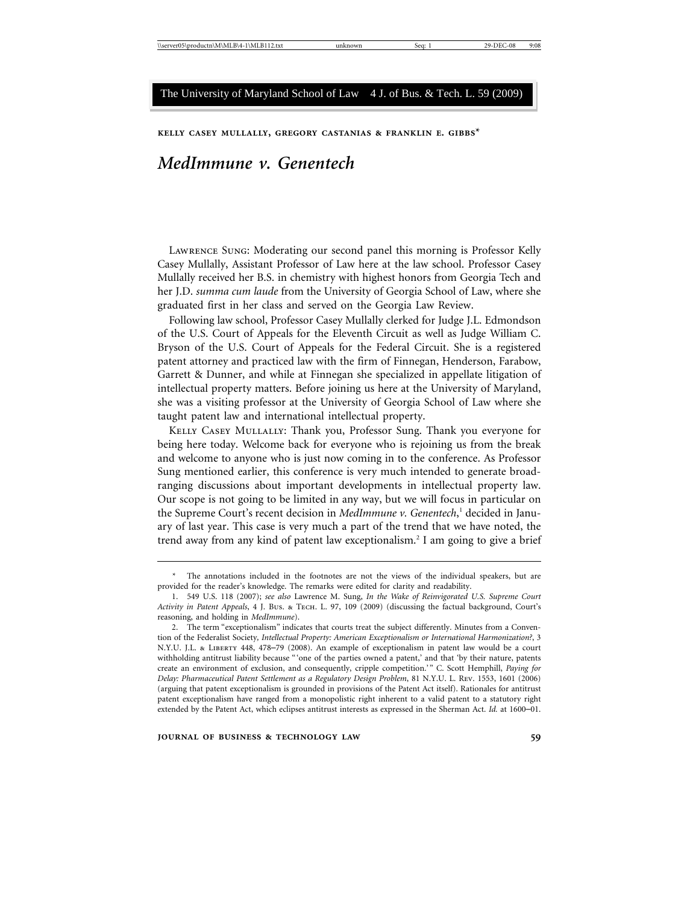**kelly casey mullally, gregory castanias & franklin e. gibbs\***

# *MedImmune v. Genentech*

Lawrence Sung: Moderating our second panel this morning is Professor Kelly Casey Mullally, Assistant Professor of Law here at the law school. Professor Casey Mullally received her B.S. in chemistry with highest honors from Georgia Tech and her J.D. *summa cum laude* from the University of Georgia School of Law, where she graduated first in her class and served on the Georgia Law Review.

Following law school, Professor Casey Mullally clerked for Judge J.L. Edmondson of the U.S. Court of Appeals for the Eleventh Circuit as well as Judge William C. Bryson of the U.S. Court of Appeals for the Federal Circuit. She is a registered patent attorney and practiced law with the firm of Finnegan, Henderson, Farabow, Garrett & Dunner, and while at Finnegan she specialized in appellate litigation of intellectual property matters. Before joining us here at the University of Maryland, she was a visiting professor at the University of Georgia School of Law where she taught patent law and international intellectual property.

Kelly Casey Mullally: Thank you, Professor Sung. Thank you everyone for being here today. Welcome back for everyone who is rejoining us from the break and welcome to anyone who is just now coming in to the conference. As Professor Sung mentioned earlier, this conference is very much intended to generate broadranging discussions about important developments in intellectual property law. Our scope is not going to be limited in any way, but we will focus in particular on the Supreme Court's recent decision in *MedImmune v. Genentech*, 1 decided in January of last year. This case is very much a part of the trend that we have noted, the trend away from any kind of patent law exceptionalism.<sup>2</sup> I am going to give a brief

<sup>\*</sup> The annotations included in the footnotes are not the views of the individual speakers, but are provided for the reader's knowledge. The remarks were edited for clarity and readability.

<sup>1. 549</sup> U.S. 118 (2007); *see also* Lawrence M. Sung, *In the Wake of Reinvigorated U.S. Supreme Court Activity in Patent Appeals*, 4 J. Bus. & Tech. L. 97, 109 (2009) (discussing the factual background, Court's reasoning, and holding in *MedImmune*).

<sup>2.</sup> The term "exceptionalism" indicates that courts treat the subject differently. Minutes from a Convention of the Federalist Society*, Intellectual Property: American Exceptionalism or International Harmonization?*, 3 N.Y.U. J.L. & Liberty 448, 478–79 (2008). An example of exceptionalism in patent law would be a court withholding antitrust liability because "'one of the parties owned a patent,' and that 'by their nature, patents create an environment of exclusion, and consequently, cripple competition.'" C. Scott Hemphill, *Paying for Delay: Pharmaceutical Patent Settlement as a Regulatory Design Problem*, 81 N.Y.U. L. Rev. 1553, 1601 (2006) (arguing that patent exceptionalism is grounded in provisions of the Patent Act itself). Rationales for antitrust patent exceptionalism have ranged from a monopolistic right inherent to a valid patent to a statutory right extended by the Patent Act, which eclipses antitrust interests as expressed in the Sherman Act. *Id.* at 1600–01.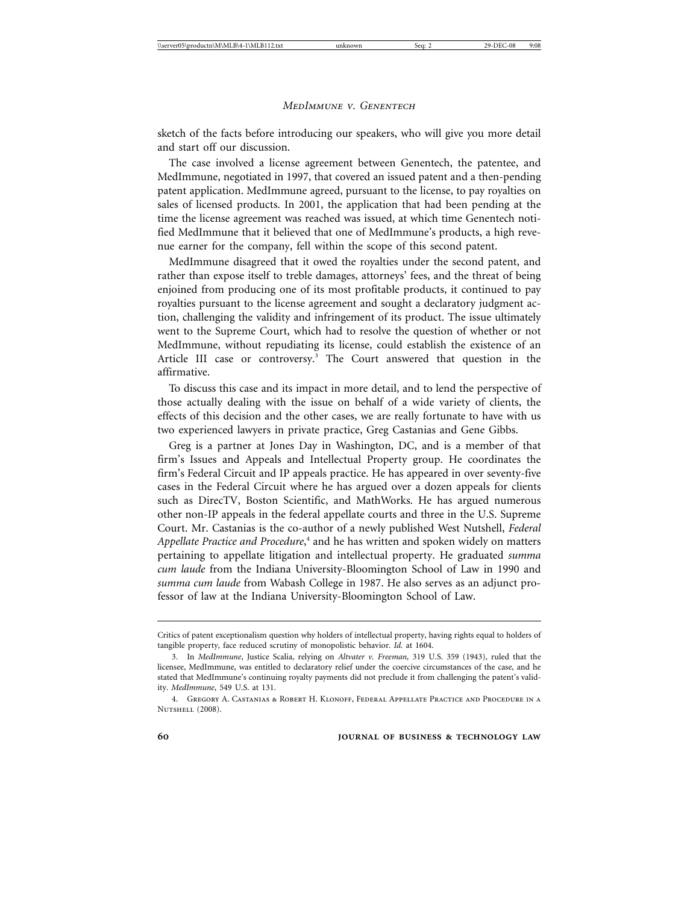sketch of the facts before introducing our speakers, who will give you more detail and start off our discussion.

The case involved a license agreement between Genentech, the patentee, and MedImmune, negotiated in 1997, that covered an issued patent and a then-pending patent application. MedImmune agreed, pursuant to the license, to pay royalties on sales of licensed products. In 2001, the application that had been pending at the time the license agreement was reached was issued, at which time Genentech notified MedImmune that it believed that one of MedImmune's products, a high revenue earner for the company, fell within the scope of this second patent.

MedImmune disagreed that it owed the royalties under the second patent, and rather than expose itself to treble damages, attorneys' fees, and the threat of being enjoined from producing one of its most profitable products, it continued to pay royalties pursuant to the license agreement and sought a declaratory judgment action, challenging the validity and infringement of its product. The issue ultimately went to the Supreme Court, which had to resolve the question of whether or not MedImmune, without repudiating its license, could establish the existence of an Article III case or controversy.<sup>3</sup> The Court answered that question in the affirmative.

To discuss this case and its impact in more detail, and to lend the perspective of those actually dealing with the issue on behalf of a wide variety of clients, the effects of this decision and the other cases, we are really fortunate to have with us two experienced lawyers in private practice, Greg Castanias and Gene Gibbs.

Greg is a partner at Jones Day in Washington, DC, and is a member of that firm's Issues and Appeals and Intellectual Property group. He coordinates the firm's Federal Circuit and IP appeals practice. He has appeared in over seventy-five cases in the Federal Circuit where he has argued over a dozen appeals for clients such as DirecTV, Boston Scientific, and MathWorks. He has argued numerous other non-IP appeals in the federal appellate courts and three in the U.S. Supreme Court. Mr. Castanias is the co-author of a newly published West Nutshell, *Federal* Appellate Practice and Procedure,<sup>4</sup> and he has written and spoken widely on matters pertaining to appellate litigation and intellectual property. He graduated *summa cum laude* from the Indiana University-Bloomington School of Law in 1990 and *summa cum laude* from Wabash College in 1987. He also serves as an adjunct professor of law at the Indiana University-Bloomington School of Law.

Critics of patent exceptionalism question why holders of intellectual property, having rights equal to holders of tangible property, face reduced scrutiny of monopolistic behavior. *Id.* at 1604.

<sup>3.</sup> In *MedImmune*, Justice Scalia, relying on *Altvater v. Freeman,* 319 U.S. 359 (1943), ruled that the licensee, MedImmune, was entitled to declaratory relief under the coercive circumstances of the case, and he stated that MedImmune's continuing royalty payments did not preclude it from challenging the patent's validity. *MedImmune*, 549 U.S. at 131.

<sup>4.</sup> Gregory A. Castanias & Robert H. Klonoff, Federal Appellate Practice and Procedure in a NUTSHELL (2008).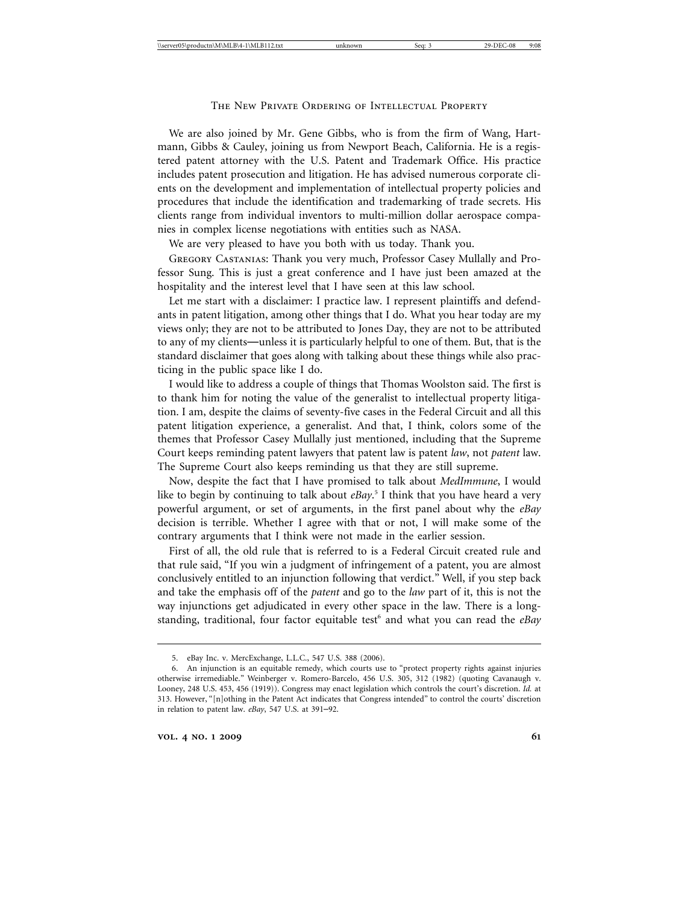We are also joined by Mr. Gene Gibbs, who is from the firm of Wang, Hartmann, Gibbs & Cauley, joining us from Newport Beach, California. He is a registered patent attorney with the U.S. Patent and Trademark Office. His practice includes patent prosecution and litigation. He has advised numerous corporate clients on the development and implementation of intellectual property policies and procedures that include the identification and trademarking of trade secrets. His clients range from individual inventors to multi-million dollar aerospace companies in complex license negotiations with entities such as NASA.

We are very pleased to have you both with us today. Thank you.

Gregory Castanias: Thank you very much, Professor Casey Mullally and Professor Sung. This is just a great conference and I have just been amazed at the hospitality and the interest level that I have seen at this law school.

Let me start with a disclaimer: I practice law. I represent plaintiffs and defendants in patent litigation, among other things that I do. What you hear today are my views only; they are not to be attributed to Jones Day, they are not to be attributed to any of my clients—unless it is particularly helpful to one of them. But, that is the standard disclaimer that goes along with talking about these things while also practicing in the public space like I do.

I would like to address a couple of things that Thomas Woolston said. The first is to thank him for noting the value of the generalist to intellectual property litigation. I am, despite the claims of seventy-five cases in the Federal Circuit and all this patent litigation experience, a generalist. And that, I think, colors some of the themes that Professor Casey Mullally just mentioned, including that the Supreme Court keeps reminding patent lawyers that patent law is patent *law*, not *patent* law. The Supreme Court also keeps reminding us that they are still supreme.

Now, despite the fact that I have promised to talk about *MedImmune*, I would like to begin by continuing to talk about *eBay*. 5 I think that you have heard a very powerful argument, or set of arguments, in the first panel about why the *eBay* decision is terrible. Whether I agree with that or not, I will make some of the contrary arguments that I think were not made in the earlier session.

First of all, the old rule that is referred to is a Federal Circuit created rule and that rule said, "If you win a judgment of infringement of a patent, you are almost conclusively entitled to an injunction following that verdict." Well, if you step back and take the emphasis off of the *patent* and go to the *law* part of it, this is not the way injunctions get adjudicated in every other space in the law. There is a longstanding, traditional, four factor equitable test<sup>6</sup> and what you can read the eBay

<sup>5.</sup> eBay Inc. v. MercExchange, L.L.C., 547 U.S. 388 (2006).

<sup>6.</sup> An injunction is an equitable remedy, which courts use to "protect property rights against injuries otherwise irremediable." Weinberger v. Romero-Barcelo, 456 U.S. 305, 312 (1982) (quoting Cavanaugh v. Looney, 248 U.S. 453, 456 (1919)). Congress may enact legislation which controls the court's discretion. *Id.* at 313. However, "[n]othing in the Patent Act indicates that Congress intended" to control the courts' discretion in relation to patent law. *eBay*, 547 U.S. at 391–92.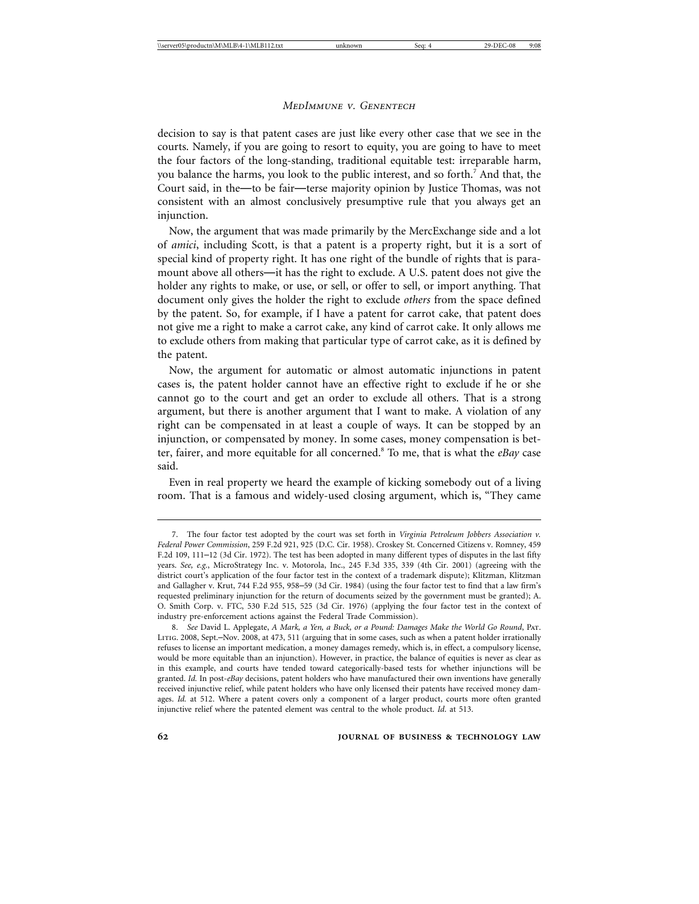decision to say is that patent cases are just like every other case that we see in the courts. Namely, if you are going to resort to equity, you are going to have to meet the four factors of the long-standing, traditional equitable test: irreparable harm, you balance the harms, you look to the public interest, and so forth.<sup>7</sup> And that, the Court said, in the—to be fair—terse majority opinion by Justice Thomas, was not consistent with an almost conclusively presumptive rule that you always get an injunction.

Now, the argument that was made primarily by the MercExchange side and a lot of *amici*, including Scott, is that a patent is a property right, but it is a sort of special kind of property right. It has one right of the bundle of rights that is paramount above all others—it has the right to exclude. A U.S. patent does not give the holder any rights to make, or use, or sell, or offer to sell, or import anything. That document only gives the holder the right to exclude *others* from the space defined by the patent. So, for example, if I have a patent for carrot cake, that patent does not give me a right to make a carrot cake, any kind of carrot cake. It only allows me to exclude others from making that particular type of carrot cake, as it is defined by the patent.

Now, the argument for automatic or almost automatic injunctions in patent cases is, the patent holder cannot have an effective right to exclude if he or she cannot go to the court and get an order to exclude all others. That is a strong argument, but there is another argument that I want to make. A violation of any right can be compensated in at least a couple of ways. It can be stopped by an injunction, or compensated by money. In some cases, money compensation is better, fairer, and more equitable for all concerned.8 To me, that is what the *eBay* case said.

Even in real property we heard the example of kicking somebody out of a living room. That is a famous and widely-used closing argument, which is, "They came

<sup>7.</sup> The four factor test adopted by the court was set forth in *Virginia Petroleum Jobbers Association v. Federal Power Commission*, 259 F.2d 921, 925 (D.C. Cir. 1958). Croskey St. Concerned Citizens v. Romney, 459 F.2d 109, 111–12 (3d Cir. 1972). The test has been adopted in many different types of disputes in the last fifty years. *See, e.g.*, MicroStrategy Inc. v. Motorola, Inc., 245 F.3d 335, 339 (4th Cir. 2001) (agreeing with the district court's application of the four factor test in the context of a trademark dispute); Klitzman, Klitzman and Gallagher v. Krut, 744 F.2d 955, 958–59 (3d Cir. 1984) (using the four factor test to find that a law firm's requested preliminary injunction for the return of documents seized by the government must be granted); A. O. Smith Corp. v. FTC, 530 F.2d 515, 525 (3d Cir. 1976) (applying the four factor test in the context of industry pre-enforcement actions against the Federal Trade Commission).

<sup>8.</sup> *See* David L. Applegate, *A Mark, a Yen, a Buck, or a Pound: Damages Make the World Go Round*, Pat. Litig. 2008, Sept.–Nov. 2008, at 473, 511 (arguing that in some cases, such as when a patent holder irrationally refuses to license an important medication, a money damages remedy, which is, in effect, a compulsory license, would be more equitable than an injunction). However, in practice, the balance of equities is never as clear as in this example, and courts have tended toward categorically-based tests for whether injunctions will be granted. *Id.* In post-*eBay* decisions, patent holders who have manufactured their own inventions have generally received injunctive relief, while patent holders who have only licensed their patents have received money damages. *Id.* at 512. Where a patent covers only a component of a larger product, courts more often granted injunctive relief where the patented element was central to the whole product. *Id*. at 513.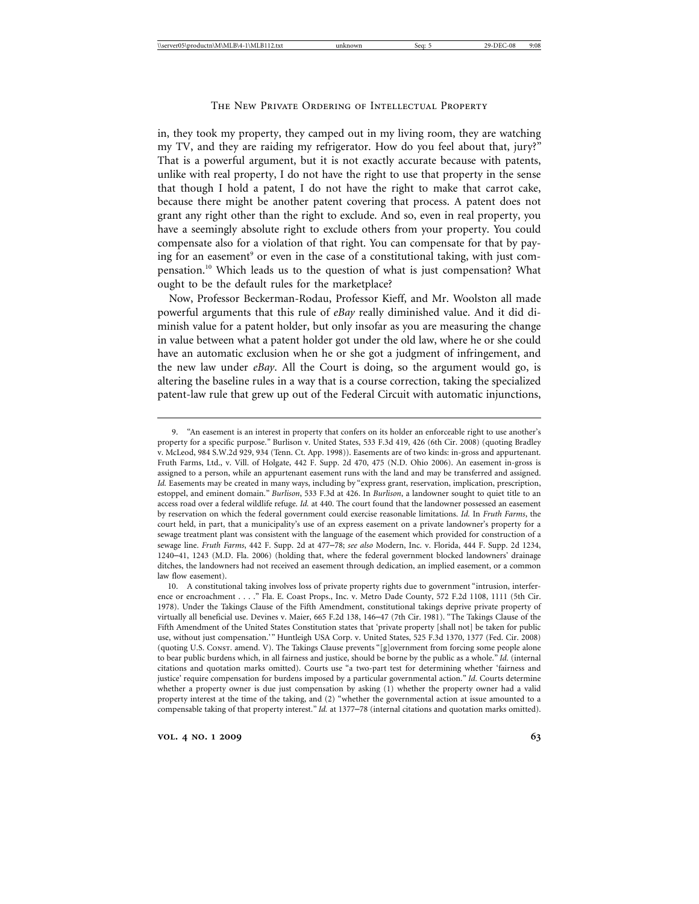in, they took my property, they camped out in my living room, they are watching my TV, and they are raiding my refrigerator. How do you feel about that, jury?" That is a powerful argument, but it is not exactly accurate because with patents, unlike with real property, I do not have the right to use that property in the sense that though I hold a patent, I do not have the right to make that carrot cake, because there might be another patent covering that process. A patent does not grant any right other than the right to exclude. And so, even in real property, you have a seemingly absolute right to exclude others from your property. You could compensate also for a violation of that right. You can compensate for that by paying for an easement<sup>9</sup> or even in the case of a constitutional taking, with just compensation.10 Which leads us to the question of what is just compensation? What ought to be the default rules for the marketplace?

Now, Professor Beckerman-Rodau, Professor Kieff, and Mr. Woolston all made powerful arguments that this rule of *eBay* really diminished value. And it did diminish value for a patent holder, but only insofar as you are measuring the change in value between what a patent holder got under the old law, where he or she could have an automatic exclusion when he or she got a judgment of infringement, and the new law under *eBay*. All the Court is doing, so the argument would go, is altering the baseline rules in a way that is a course correction, taking the specialized patent-law rule that grew up out of the Federal Circuit with automatic injunctions,

<sup>9. &</sup>quot;An easement is an interest in property that confers on its holder an enforceable right to use another's property for a specific purpose." Burlison v. United States, 533 F.3d 419, 426 (6th Cir. 2008) (quoting Bradley v. McLeod, 984 S.W.2d 929, 934 (Tenn. Ct. App. 1998)). Easements are of two kinds: in-gross and appurtenant. Fruth Farms, Ltd., v. Vill. of Holgate, 442 F. Supp. 2d 470, 475 (N.D. Ohio 2006). An easement in-gross is assigned to a person, while an appurtenant easement runs with the land and may be transferred and assigned. *Id.* Easements may be created in many ways, including by "express grant, reservation, implication, prescription, estoppel, and eminent domain." *Burlison*, 533 F.3d at 426. In *Burlison*, a landowner sought to quiet title to an access road over a federal wildlife refuge. *Id.* at 440. The court found that the landowner possessed an easement by reservation on which the federal government could exercise reasonable limitations. *Id.* In *Fruth Farms*, the court held, in part, that a municipality's use of an express easement on a private landowner's property for a sewage treatment plant was consistent with the language of the easement which provided for construction of a sewage line. *Fruth Farms*, 442 F. Supp. 2d at 477–78; *see also* Modern, Inc. v. Florida, 444 F. Supp. 2d 1234, 1240–41, 1243 (M.D. Fla. 2006) (holding that, where the federal government blocked landowners' drainage ditches, the landowners had not received an easement through dedication, an implied easement, or a common law flow easement).

<sup>10.</sup> A constitutional taking involves loss of private property rights due to government "intrusion, interference or encroachment . . . ." Fla. E. Coast Props., Inc. v. Metro Dade County, 572 F.2d 1108, 1111 (5th Cir. 1978). Under the Takings Clause of the Fifth Amendment, constitutional takings deprive private property of virtually all beneficial use. Devines v. Maier, 665 F.2d 138, 146–47 (7th Cir. 1981). "The Takings Clause of the Fifth Amendment of the United States Constitution states that 'private property [shall not] be taken for public use, without just compensation.'" Huntleigh USA Corp. v. United States, 525 F.3d 1370, 1377 (Fed. Cir. 2008) (quoting U.S. Const. amend. V). The Takings Clause prevents "[g]overnment from forcing some people alone to bear public burdens which, in all fairness and justice, should be borne by the public as a whole." *Id.* (internal citations and quotation marks omitted). Courts use "a two-part test for determining whether 'fairness and justice' require compensation for burdens imposed by a particular governmental action." *Id.* Courts determine whether a property owner is due just compensation by asking (1) whether the property owner had a valid property interest at the time of the taking, and (2) "whether the governmental action at issue amounted to a compensable taking of that property interest." *Id.* at 1377–78 (internal citations and quotation marks omitted).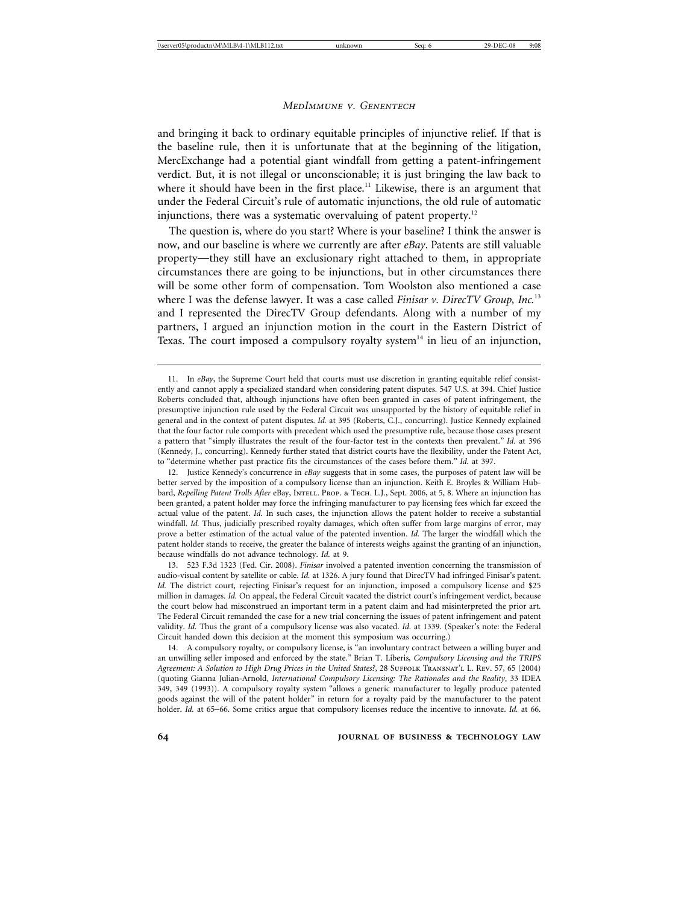and bringing it back to ordinary equitable principles of injunctive relief. If that is the baseline rule, then it is unfortunate that at the beginning of the litigation, MercExchange had a potential giant windfall from getting a patent-infringement verdict. But, it is not illegal or unconscionable; it is just bringing the law back to where it should have been in the first place.<sup>11</sup> Likewise, there is an argument that under the Federal Circuit's rule of automatic injunctions, the old rule of automatic injunctions, there was a systematic overvaluing of patent property.<sup>12</sup>

The question is, where do you start? Where is your baseline? I think the answer is now, and our baseline is where we currently are after *eBay*. Patents are still valuable property—they still have an exclusionary right attached to them, in appropriate circumstances there are going to be injunctions, but in other circumstances there will be some other form of compensation. Tom Woolston also mentioned a case where I was the defense lawyer. It was a case called *Finisar v. DirecTV Group, Inc.*<sup>13</sup> and I represented the DirecTV Group defendants. Along with a number of my partners, I argued an injunction motion in the court in the Eastern District of Texas. The court imposed a compulsory royalty system $14$  in lieu of an injunction,

13. 523 F.3d 1323 (Fed. Cir. 2008). *Finisar* involved a patented invention concerning the transmission of audio-visual content by satellite or cable. *Id.* at 1326. A jury found that DirecTV had infringed Finisar's patent. *Id.* The district court, rejecting Finisar's request for an injunction, imposed a compulsory license and \$25 million in damages. *Id.* On appeal, the Federal Circuit vacated the district court's infringement verdict, because the court below had misconstrued an important term in a patent claim and had misinterpreted the prior art. The Federal Circuit remanded the case for a new trial concerning the issues of patent infringement and patent validity. *Id.* Thus the grant of a compulsory license was also vacated. *Id.* at 1339. (Speaker's note: the Federal Circuit handed down this decision at the moment this symposium was occurring.)

14. A compulsory royalty, or compulsory license, is "an involuntary contract between a willing buyer and an unwilling seller imposed and enforced by the state." Brian T. Liberis*, Compulsory Licensing and the TRIPS Agreement: A Solution to High Drug Prices in the United States?*, 28 Suffolk Transnat'l L. Rev. 57, 65 (2004) (quoting Gianna Julian-Arnold, *International Compulsory Licensing: The Rationales and the Reality*, 33 IDEA 349, 349 (1993)). A compulsory royalty system "allows a generic manufacturer to legally produce patented goods against the will of the patent holder" in return for a royalty paid by the manufacturer to the patent holder. *Id.* at 65–66. Some critics argue that compulsory licenses reduce the incentive to innovate. *Id.* at 66.

<sup>11.</sup> In *eBay*, the Supreme Court held that courts must use discretion in granting equitable relief consistently and cannot apply a specialized standard when considering patent disputes. 547 U.S. at 394. Chief Justice Roberts concluded that, although injunctions have often been granted in cases of patent infringement, the presumptive injunction rule used by the Federal Circuit was unsupported by the history of equitable relief in general and in the context of patent disputes. *Id.* at 395 (Roberts, C.J., concurring). Justice Kennedy explained that the four factor rule comports with precedent which used the presumptive rule, because those cases present a pattern that "simply illustrates the result of the four-factor test in the contexts then prevalent." *Id.* at 396 (Kennedy, J., concurring). Kennedy further stated that district courts have the flexibility, under the Patent Act, to "determine whether past practice fits the circumstances of the cases before them." *Id.* at 397.

<sup>12.</sup> Justice Kennedy's concurrence in *eBay* suggests that in some cases, the purposes of patent law will be better served by the imposition of a compulsory license than an injunction. Keith E. Broyles & William Hubbard, *Repelling Patent Trolls After eBay*, INTELL. PROP. & TECH. L.J., Sept. 2006, at 5, 8. Where an injunction has been granted, a patent holder may force the infringing manufacturer to pay licensing fees which far exceed the actual value of the patent. *Id.* In such cases, the injunction allows the patent holder to receive a substantial windfall. *Id.* Thus, judicially prescribed royalty damages, which often suffer from large margins of error, may prove a better estimation of the actual value of the patented invention. *Id.* The larger the windfall which the patent holder stands to receive, the greater the balance of interests weighs against the granting of an injunction, because windfalls do not advance technology. *Id.* at 9.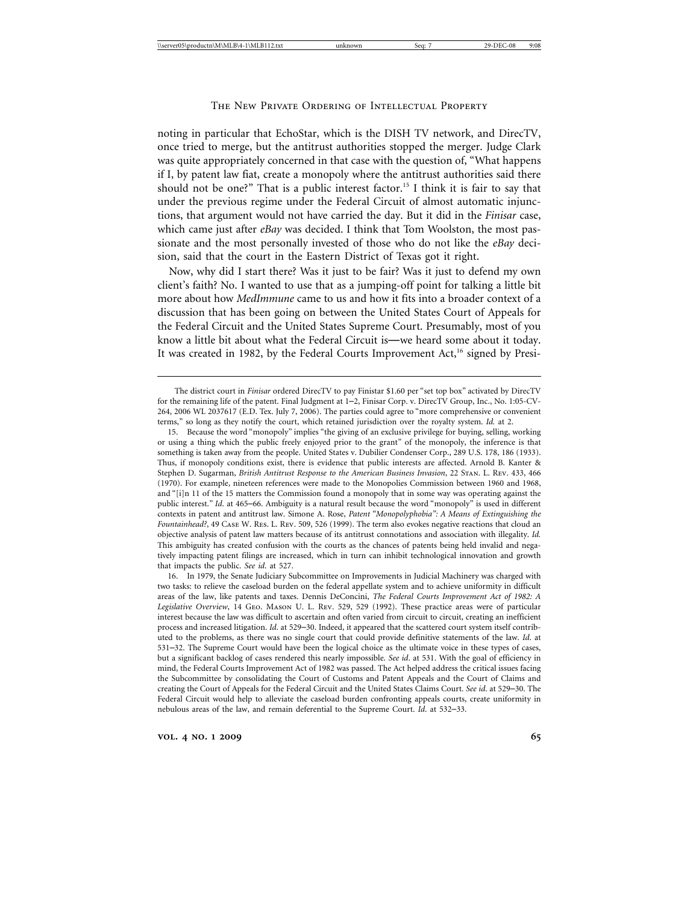# The New Private Ordering of Intellectual Property

noting in particular that EchoStar, which is the DISH TV network, and DirecTV, once tried to merge, but the antitrust authorities stopped the merger. Judge Clark was quite appropriately concerned in that case with the question of, "What happens if I, by patent law fiat, create a monopoly where the antitrust authorities said there should not be one?" That is a public interest factor.<sup>15</sup> I think it is fair to say that under the previous regime under the Federal Circuit of almost automatic injunctions, that argument would not have carried the day. But it did in the *Finisar* case, which came just after *eBay* was decided. I think that Tom Woolston, the most passionate and the most personally invested of those who do not like the *eBay* decision, said that the court in the Eastern District of Texas got it right.

Now, why did I start there? Was it just to be fair? Was it just to defend my own client's faith? No. I wanted to use that as a jumping-off point for talking a little bit more about how *MedImmune* came to us and how it fits into a broader context of a discussion that has been going on between the United States Court of Appeals for the Federal Circuit and the United States Supreme Court. Presumably, most of you know a little bit about what the Federal Circuit is—we heard some about it today. It was created in 1982, by the Federal Courts Improvement  $Act$ ,<sup>16</sup> signed by Presi-

16. In 1979, the Senate Judiciary Subcommittee on Improvements in Judicial Machinery was charged with two tasks: to relieve the caseload burden on the federal appellate system and to achieve uniformity in difficult areas of the law, like patents and taxes. Dennis DeConcini, *The Federal Courts Improvement Act of 1982: A Legislative Overview*, 14 Geo. Mason U. L. Rev. 529, 529 (1992). These practice areas were of particular interest because the law was difficult to ascertain and often varied from circuit to circuit, creating an inefficient process and increased litigation. *Id*. at 529–30. Indeed, it appeared that the scattered court system itself contributed to the problems, as there was no single court that could provide definitive statements of the law. *Id*. at 531–32. The Supreme Court would have been the logical choice as the ultimate voice in these types of cases, but a significant backlog of cases rendered this nearly impossible. *See id*. at 531. With the goal of efficiency in mind, the Federal Courts Improvement Act of 1982 was passed. The Act helped address the critical issues facing the Subcommittee by consolidating the Court of Customs and Patent Appeals and the Court of Claims and creating the Court of Appeals for the Federal Circuit and the United States Claims Court. *See id*. at 529–30. The Federal Circuit would help to alleviate the caseload burden confronting appeals courts, create uniformity in nebulous areas of the law, and remain deferential to the Supreme Court. *Id*. at 532–33.

The district court in *Finisar* ordered DirecTV to pay Finistar \$1.60 per "set top box" activated by DirecTV for the remaining life of the patent. Final Judgment at 1–2, Finisar Corp. v. DirecTV Group, Inc., No. 1:05-CV-264, 2006 WL 2037617 (E.D. Tex. July 7, 2006). The parties could agree to "more comprehensive or convenient terms," so long as they notify the court, which retained jurisdiction over the royalty system. *Id.* at 2.

<sup>15.</sup> Because the word "monopoly" implies "the giving of an exclusive privilege for buying, selling, working or using a thing which the public freely enjoyed prior to the grant" of the monopoly, the inference is that something is taken away from the people. United States v. Dubilier Condenser Corp., 289 U.S. 178, 186 (1933). Thus, if monopoly conditions exist, there is evidence that public interests are affected. Arnold B. Kanter & Stephen D. Sugarman, *British Antitrust Response to the American Business Invasion*, 22 Stan. L. Rev. 433, 466 (1970). For example, nineteen references were made to the Monopolies Commission between 1960 and 1968, and "[i]n 11 of the 15 matters the Commission found a monopoly that in some way was operating against the public interest." *Id.* at 465–66. Ambiguity is a natural result because the word "monopoly" is used in different contexts in patent and antitrust law. Simone A. Rose, *Patent "Monopolyphobia": A Means of Extinguishing the Fountainhead?*, 49 Case W. Res. L. Rev. 509, 526 (1999). The term also evokes negative reactions that cloud an objective analysis of patent law matters because of its antitrust connotations and association with illegality. *Id.* This ambiguity has created confusion with the courts as the chances of patents being held invalid and negatively impacting patent filings are increased, which in turn can inhibit technological innovation and growth that impacts the public. *See id*. at 527.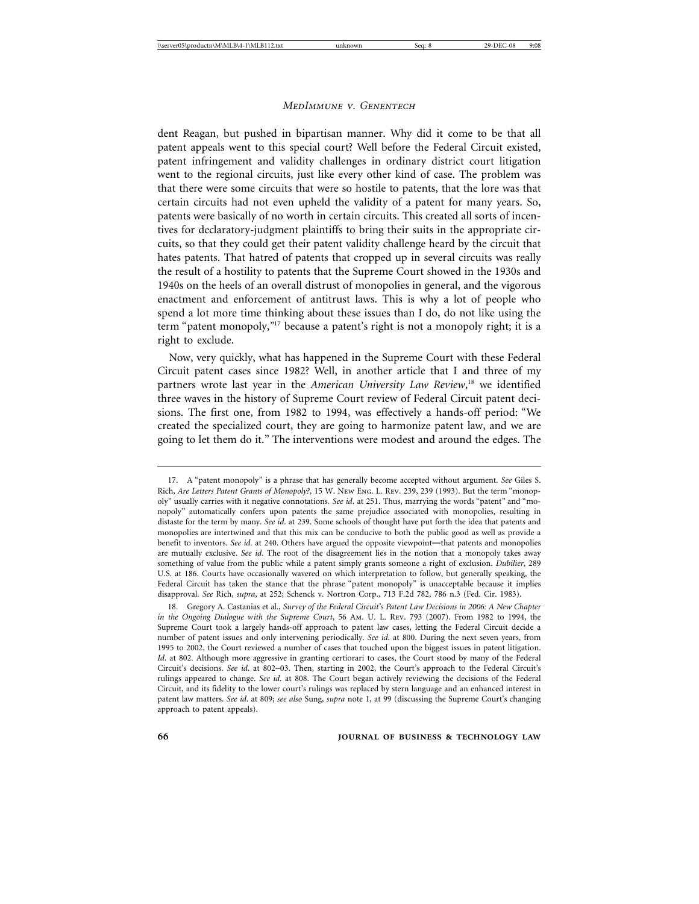dent Reagan, but pushed in bipartisan manner. Why did it come to be that all patent appeals went to this special court? Well before the Federal Circuit existed, patent infringement and validity challenges in ordinary district court litigation went to the regional circuits, just like every other kind of case. The problem was that there were some circuits that were so hostile to patents, that the lore was that certain circuits had not even upheld the validity of a patent for many years. So, patents were basically of no worth in certain circuits. This created all sorts of incentives for declaratory-judgment plaintiffs to bring their suits in the appropriate circuits, so that they could get their patent validity challenge heard by the circuit that hates patents. That hatred of patents that cropped up in several circuits was really the result of a hostility to patents that the Supreme Court showed in the 1930s and 1940s on the heels of an overall distrust of monopolies in general, and the vigorous enactment and enforcement of antitrust laws. This is why a lot of people who spend a lot more time thinking about these issues than I do, do not like using the term "patent monopoly,"17 because a patent's right is not a monopoly right; it is a right to exclude.

Now, very quickly, what has happened in the Supreme Court with these Federal Circuit patent cases since 1982? Well, in another article that I and three of my partners wrote last year in the *American University Law Review*, 18 we identified three waves in the history of Supreme Court review of Federal Circuit patent decisions. The first one, from 1982 to 1994, was effectively a hands-off period: "We created the specialized court, they are going to harmonize patent law, and we are going to let them do it." The interventions were modest and around the edges. The

<sup>17.</sup> A "patent monopoly" is a phrase that has generally become accepted without argument. *See* Giles S. Rich, *Are Letters Patent Grants of Monopoly?*, 15 W. New Eng. L. Rev. 239, 239 (1993). But the term "monopoly" usually carries with it negative connotations. *See id*. at 251. Thus, marrying the words "patent" and "monopoly" automatically confers upon patents the same prejudice associated with monopolies, resulting in distaste for the term by many. *See id*. at 239. Some schools of thought have put forth the idea that patents and monopolies are intertwined and that this mix can be conducive to both the public good as well as provide a benefit to inventors. *See id*. at 240. Others have argued the opposite viewpoint—that patents and monopolies are mutually exclusive. *See id*. The root of the disagreement lies in the notion that a monopoly takes away something of value from the public while a patent simply grants someone a right of exclusion. *Dubilier*, 289 U.S. at 186. Courts have occasionally wavered on which interpretation to follow, but generally speaking, the Federal Circuit has taken the stance that the phrase "patent monopoly" is unacceptable because it implies disapproval. *See* Rich, *supra*, at 252; Schenck v. Nortron Corp., 713 F.2d 782, 786 n.3 (Fed. Cir. 1983).

<sup>18.</sup> Gregory A. Castanias et al., *Survey of the Federal Circuit's Patent Law Decisions in 2006: A New Chapter in the Ongoing Dialogue with the Supreme Court*, 56 Am. U. L. Rev. 793 (2007). From 1982 to 1994, the Supreme Court took a largely hands-off approach to patent law cases, letting the Federal Circuit decide a number of patent issues and only intervening periodically. *See id*. at 800. During the next seven years, from 1995 to 2002, the Court reviewed a number of cases that touched upon the biggest issues in patent litigation. *Id*. at 802. Although more aggressive in granting certiorari to cases, the Court stood by many of the Federal Circuit's decisions. *See id*. at 802–03. Then, starting in 2002, the Court's approach to the Federal Circuit's rulings appeared to change. *See id*. at 808. The Court began actively reviewing the decisions of the Federal Circuit, and its fidelity to the lower court's rulings was replaced by stern language and an enhanced interest in patent law matters. *See id*. at 809; *see also* Sung, *supra* note 1, at 99 (discussing the Supreme Court's changing approach to patent appeals).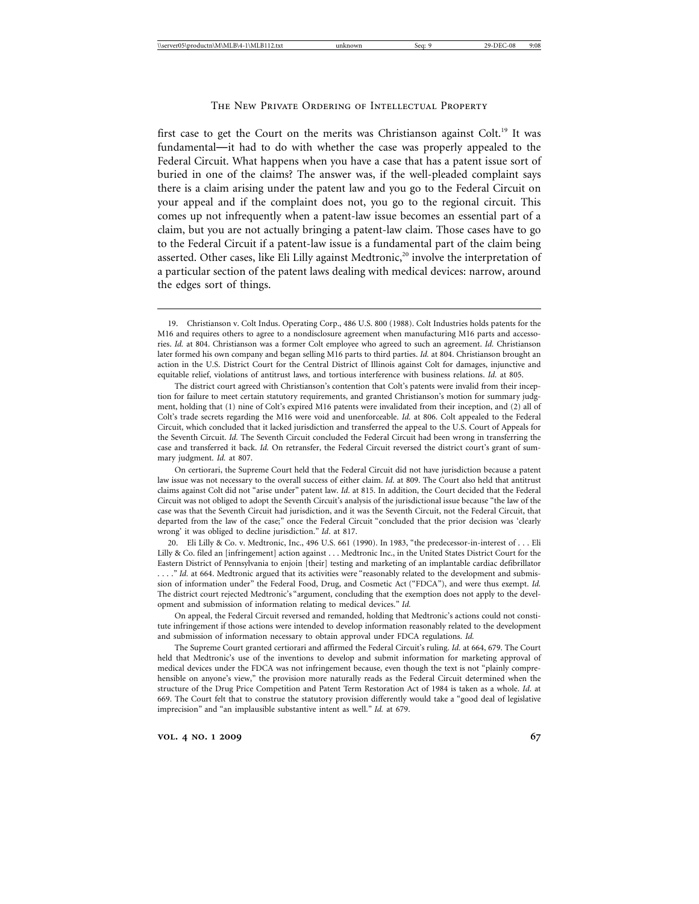# The New Private Ordering of Intellectual Property

first case to get the Court on the merits was Christianson against Colt.<sup>19</sup> It was fundamental—it had to do with whether the case was properly appealed to the Federal Circuit. What happens when you have a case that has a patent issue sort of buried in one of the claims? The answer was, if the well-pleaded complaint says there is a claim arising under the patent law and you go to the Federal Circuit on your appeal and if the complaint does not, you go to the regional circuit. This comes up not infrequently when a patent-law issue becomes an essential part of a claim, but you are not actually bringing a patent-law claim. Those cases have to go to the Federal Circuit if a patent-law issue is a fundamental part of the claim being asserted. Other cases, like Eli Lilly against Medtronic, $20$  involve the interpretation of a particular section of the patent laws dealing with medical devices: narrow, around the edges sort of things.

20. Eli Lilly & Co. v. Medtronic, Inc., 496 U.S. 661 (1990). In 1983, "the predecessor-in-interest of . . . Eli Lilly & Co. filed an [infringement] action against . . . Medtronic Inc., in the United States District Court for the Eastern District of Pennsylvania to enjoin [their] testing and marketing of an implantable cardiac defibrillator . . . . " *Id.* at 664. Medtronic argued that its activities were "reasonably related to the development and submission of information under" the Federal Food, Drug, and Cosmetic Act ("FDCA"), and were thus exempt. *Id.* The district court rejected Medtronic's "argument, concluding that the exemption does not apply to the development and submission of information relating to medical devices." *Id.*

On appeal, the Federal Circuit reversed and remanded, holding that Medtronic's actions could not constitute infringement if those actions were intended to develop information reasonably related to the development and submission of information necessary to obtain approval under FDCA regulations. *Id.*

The Supreme Court granted certiorari and affirmed the Federal Circuit's ruling. *Id.* at 664, 679. The Court held that Medtronic's use of the inventions to develop and submit information for marketing approval of medical devices under the FDCA was not infringement because, even though the text is not "plainly comprehensible on anyone's view," the provision more naturally reads as the Federal Circuit determined when the structure of the Drug Price Competition and Patent Term Restoration Act of 1984 is taken as a whole. *Id*. at 669. The Court felt that to construe the statutory provision differently would take a "good deal of legislative imprecision" and "an implausible substantive intent as well." *Id.* at 679.

<sup>19.</sup> Christianson v. Colt Indus. Operating Corp., 486 U.S. 800 (1988). Colt Industries holds patents for the M16 and requires others to agree to a nondisclosure agreement when manufacturing M16 parts and accessories. *Id.* at 804. Christianson was a former Colt employee who agreed to such an agreement. *Id.* Christianson later formed his own company and began selling M16 parts to third parties. *Id.* at 804. Christianson brought an action in the U.S. District Court for the Central District of Illinois against Colt for damages, injunctive and equitable relief, violations of antitrust laws, and tortious interference with business relations. *Id.* at 805.

The district court agreed with Christianson's contention that Colt's patents were invalid from their inception for failure to meet certain statutory requirements, and granted Christianson's motion for summary judgment, holding that (1) nine of Colt's expired M16 patents were invalidated from their inception, and (2) all of Colt's trade secrets regarding the M16 were void and unenforceable. *Id.* at 806. Colt appealed to the Federal Circuit, which concluded that it lacked jurisdiction and transferred the appeal to the U.S. Court of Appeals for the Seventh Circuit. *Id.* The Seventh Circuit concluded the Federal Circuit had been wrong in transferring the case and transferred it back. *Id.* On retransfer, the Federal Circuit reversed the district court's grant of summary judgment. *Id.* at 807.

On certiorari, the Supreme Court held that the Federal Circuit did not have jurisdiction because a patent law issue was not necessary to the overall success of either claim. *Id*. at 809. The Court also held that antitrust claims against Colt did not "arise under" patent law. *Id*. at 815. In addition, the Court decided that the Federal Circuit was not obliged to adopt the Seventh Circuit's analysis of the jurisdictional issue because "the law of the case was that the Seventh Circuit had jurisdiction, and it was the Seventh Circuit, not the Federal Circuit, that departed from the law of the case;" once the Federal Circuit "concluded that the prior decision was 'clearly wrong' it was obliged to decline jurisdiction." *Id*. at 817.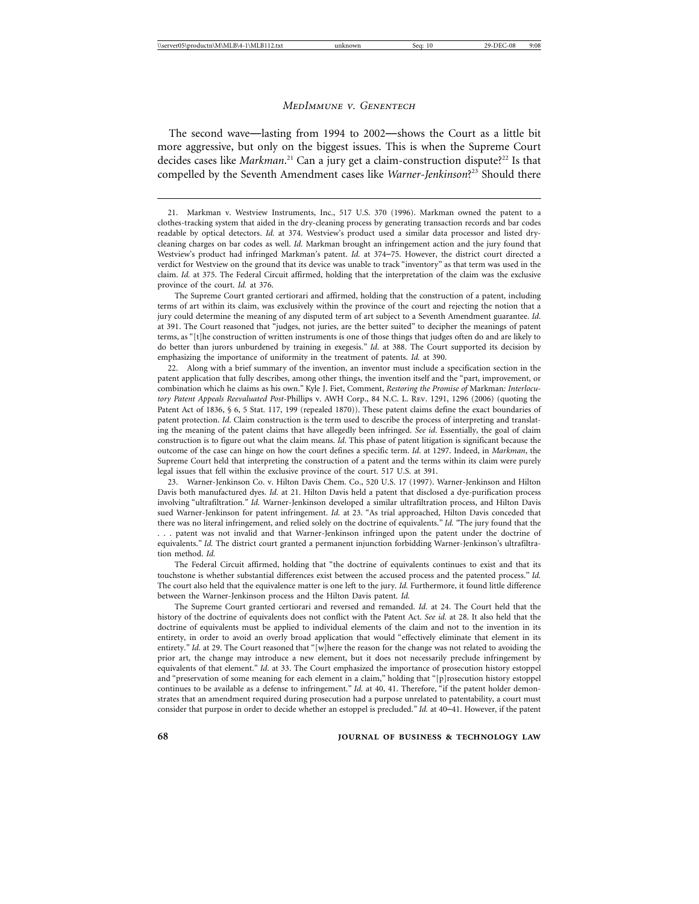The second wave—lasting from 1994 to 2002—shows the Court as a little bit more aggressive, but only on the biggest issues. This is when the Supreme Court decides cases like *Markman*.<sup>21</sup> Can a jury get a claim-construction dispute?<sup>22</sup> Is that compelled by the Seventh Amendment cases like *Warner-Jenkinson*? 23 Should there

The Supreme Court granted certiorari and affirmed, holding that the construction of a patent, including terms of art within its claim, was exclusively within the province of the court and rejecting the notion that a jury could determine the meaning of any disputed term of art subject to a Seventh Amendment guarantee. *Id.* at 391. The Court reasoned that "judges, not juries, are the better suited" to decipher the meanings of patent terms, as "[t]he construction of written instruments is one of those things that judges often do and are likely to do better than jurors unburdened by training in exegesis." *Id*. at 388. The Court supported its decision by emphasizing the importance of uniformity in the treatment of patents. *Id.* at 390.

22. Along with a brief summary of the invention, an inventor must include a specification section in the patent application that fully describes, among other things, the invention itself and the "part, improvement, or combination which he claims as his own." Kyle J. Fiet, Comment, *Restoring the Promise of* Markman*: Interlocutory Patent Appeals Reevaluated Post-*Phillips v. AWH Corp., 84 N.C. L. Rev. 1291, 1296 (2006) (quoting the Patent Act of 1836, § 6, 5 Stat. 117, 199 (repealed 1870)). These patent claims define the exact boundaries of patent protection. *Id*. Claim construction is the term used to describe the process of interpreting and translating the meaning of the patent claims that have allegedly been infringed. *See id*. Essentially, the goal of claim construction is to figure out what the claim means. *Id*. This phase of patent litigation is significant because the outcome of the case can hinge on how the court defines a specific term. *Id*. at 1297. Indeed, in *Markman*, the Supreme Court held that interpreting the construction of a patent and the terms within its claim were purely legal issues that fell within the exclusive province of the court. 517 U.S. at 391.

23. Warner-Jenkinson Co. v. Hilton Davis Chem. Co., 520 U.S. 17 (1997). Warner-Jenkinson and Hilton Davis both manufactured dyes. *Id.* at 21. Hilton Davis held a patent that disclosed a dye-purification process involving "ultrafiltration." *Id.* Warner-Jenkinson developed a similar ultrafiltration process, and Hilton Davis sued Warner-Jenkinson for patent infringement. *Id.* at 23. "As trial approached, Hilton Davis conceded that there was no literal infringement, and relied solely on the doctrine of equivalents." *Id.* "The jury found that the . . . patent was not invalid and that Warner-Jenkinson infringed upon the patent under the doctrine of equivalents." *Id.* The district court granted a permanent injunction forbidding Warner-Jenkinson's ultrafiltration method. *Id.*

The Federal Circuit affirmed, holding that "the doctrine of equivalents continues to exist and that its touchstone is whether substantial differences exist between the accused process and the patented process." *Id.* The court also held that the equivalence matter is one left to the jury. *Id.* Furthermore, it found little difference between the Warner-Jenkinson process and the Hilton Davis patent. *Id.*

The Supreme Court granted certiorari and reversed and remanded. *Id.* at 24. The Court held that the history of the doctrine of equivalents does not conflict with the Patent Act. *See id.* at 28. It also held that the doctrine of equivalents must be applied to individual elements of the claim and not to the invention in its entirety, in order to avoid an overly broad application that would "effectively eliminate that element in its entirety." *Id.* at 29. The Court reasoned that "[w]here the reason for the change was not related to avoiding the prior art, the change may introduce a new element, but it does not necessarily preclude infringement by equivalents of that element." *Id*. at 33. The Court emphasized the importance of prosecution history estoppel and "preservation of some meaning for each element in a claim," holding that "[p]rosecution history estoppel continues to be available as a defense to infringement." *Id.* at 40, 41. Therefore, "if the patent holder demonstrates that an amendment required during prosecution had a purpose unrelated to patentability, a court must consider that purpose in order to decide whether an estoppel is precluded." *Id.* at 40–41. However, if the patent

<sup>21.</sup> Markman v. Westview Instruments, Inc., 517 U.S. 370 (1996). Markman owned the patent to a clothes-tracking system that aided in the dry-cleaning process by generating transaction records and bar codes readable by optical detectors. *Id.* at 374. Westview's product used a similar data processor and listed drycleaning charges on bar codes as well. *Id.* Markman brought an infringement action and the jury found that Westview's product had infringed Markman's patent. *Id.* at 374–75. However, the district court directed a verdict for Westview on the ground that its device was unable to track "inventory" as that term was used in the claim. *Id.* at 375. The Federal Circuit affirmed, holding that the interpretation of the claim was the exclusive province of the court. *Id.* at 376.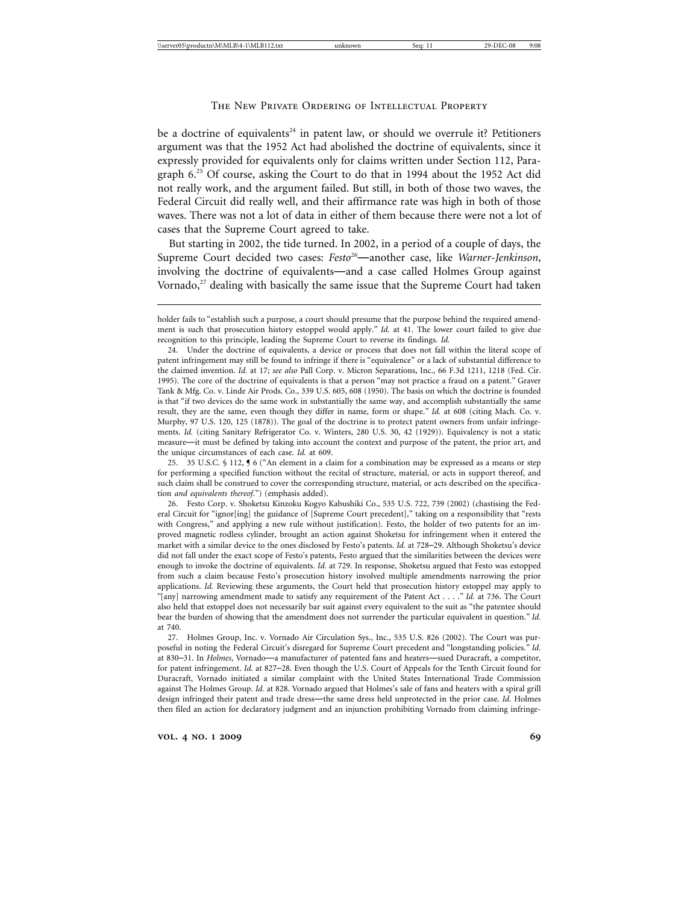# The New Private Ordering of Intellectual Property

be a doctrine of equivalents<sup>24</sup> in patent law, or should we overrule it? Petitioners argument was that the 1952 Act had abolished the doctrine of equivalents, since it expressly provided for equivalents only for claims written under Section 112, Paragraph  $6<sup>25</sup>$  Of course, asking the Court to do that in 1994 about the 1952 Act did not really work, and the argument failed. But still, in both of those two waves, the Federal Circuit did really well, and their affirmance rate was high in both of those waves. There was not a lot of data in either of them because there were not a lot of cases that the Supreme Court agreed to take.

But starting in 2002, the tide turned. In 2002, in a period of a couple of days, the Supreme Court decided two cases: *Festo*<sup>26</sup>—another case, like *Warner-Jenkinson*, involving the doctrine of equivalents—and a case called Holmes Group against Vornado, $27$  dealing with basically the same issue that the Supreme Court had taken

25. 35 U.S.C. § 112, ¶ 6 ("An element in a claim for a combination may be expressed as a means or step for performing a specified function without the recital of structure, material, or acts in support thereof, and such claim shall be construed to cover the corresponding structure, material, or acts described on the specification *and equivalents thereof*.") (emphasis added).

holder fails to "establish such a purpose, a court should presume that the purpose behind the required amendment is such that prosecution history estoppel would apply." *Id.* at 41. The lower court failed to give due recognition to this principle, leading the Supreme Court to reverse its findings. *Id.*

<sup>24.</sup> Under the doctrine of equivalents, a device or process that does not fall within the literal scope of patent infringement may still be found to infringe if there is "equivalence" or a lack of substantial difference to the claimed invention. *Id.* at 17; *see also* Pall Corp. v. Micron Separations, Inc., 66 F.3d 1211, 1218 (Fed. Cir. 1995). The core of the doctrine of equivalents is that a person "may not practice a fraud on a patent." Graver Tank & Mfg. Co. v. Linde Air Prods. Co., 339 U.S. 605, 608 (1950). The basis on which the doctrine is founded is that "if two devices do the same work in substantially the same way, and accomplish substantially the same result, they are the same, even though they differ in name, form or shape." *Id.* at 608 (citing Mach. Co. v. Murphy, 97 U.S. 120, 125 (1878)). The goal of the doctrine is to protect patent owners from unfair infringements. *Id.* (citing Sanitary Refrigerator Co. v. Winters, 280 U.S. 30, 42 (1929)). Equivalency is not a static measure—it must be defined by taking into account the context and purpose of the patent, the prior art, and the unique circumstances of each case. *Id.* at 609.

<sup>26.</sup> Festo Corp. v. Shoketsu Kinzoku Kogyo Kabushiki Co., 535 U.S. 722, 739 (2002) (chastising the Federal Circuit for "ignor[ing] the guidance of [Supreme Court precedent]," taking on a responsibility that "rests with Congress," and applying a new rule without justification). Festo, the holder of two patents for an improved magnetic rodless cylinder, brought an action against Shoketsu for infringement when it entered the market with a similar device to the ones disclosed by Festo's patents. *Id.* at 728–29. Although Shoketsu's device did not fall under the exact scope of Festo's patents, Festo argued that the similarities between the devices were enough to invoke the doctrine of equivalents. *Id.* at 729. In response, Shoketsu argued that Festo was estopped from such a claim because Festo's prosecution history involved multiple amendments narrowing the prior applications. *Id.* Reviewing these arguments, the Court held that prosecution history estoppel may apply to "[any] narrowing amendment made to satisfy any requirement of the Patent Act . . . ." *Id.* at 736. The Court also held that estoppel does not necessarily bar suit against every equivalent to the suit as "the patentee should bear the burden of showing that the amendment does not surrender the particular equivalent in question." *Id.* at 740.

<sup>27.</sup> Holmes Group, Inc. v. Vornado Air Circulation Sys., Inc., 535 U.S. 826 (2002). The Court was purposeful in noting the Federal Circuit's disregard for Supreme Court precedent and "longstanding policies." *Id.* at 830–31. In *Holmes*, Vornado—a manufacturer of patented fans and heaters—sued Duracraft, a competitor, for patent infringement. *Id.* at 827–28. Even though the U.S. Court of Appeals for the Tenth Circuit found for Duracraft, Vornado initiated a similar complaint with the United States International Trade Commission against The Holmes Group. *Id.* at 828. Vornado argued that Holmes's sale of fans and heaters with a spiral grill design infringed their patent and trade dress—the same dress held unprotected in the prior case. *Id.* Holmes then filed an action for declaratory judgment and an injunction prohibiting Vornado from claiming infringe-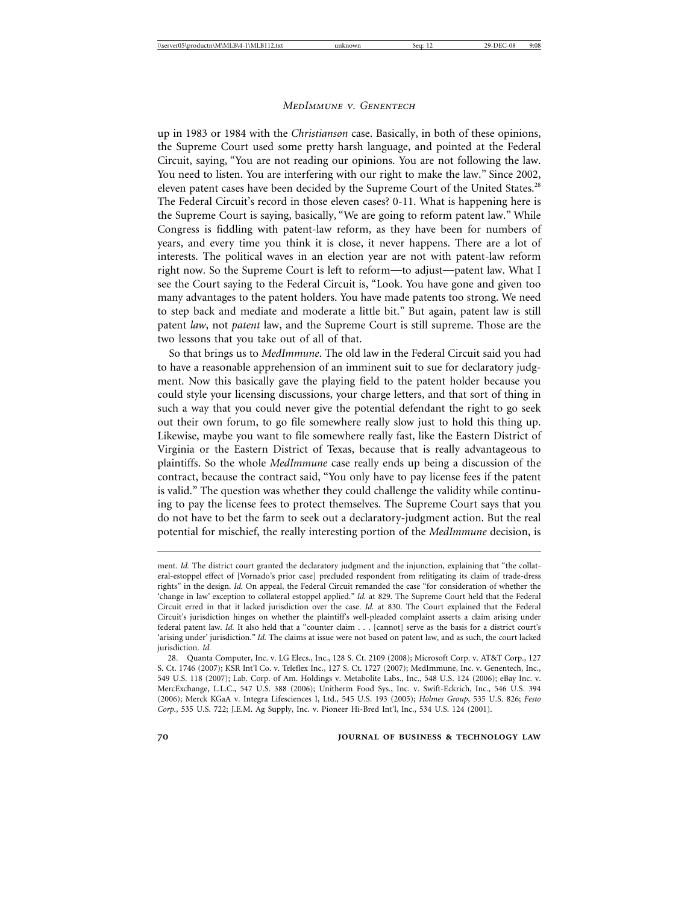up in 1983 or 1984 with the *Christianson* case. Basically, in both of these opinions, the Supreme Court used some pretty harsh language, and pointed at the Federal Circuit, saying, "You are not reading our opinions. You are not following the law. You need to listen. You are interfering with our right to make the law." Since 2002, eleven patent cases have been decided by the Supreme Court of the United States.<sup>28</sup> The Federal Circuit's record in those eleven cases? 0-11. What is happening here is the Supreme Court is saying, basically, "We are going to reform patent law." While Congress is fiddling with patent-law reform, as they have been for numbers of years, and every time you think it is close, it never happens. There are a lot of interests. The political waves in an election year are not with patent-law reform right now. So the Supreme Court is left to reform—to adjust—patent law. What I see the Court saying to the Federal Circuit is, "Look. You have gone and given too many advantages to the patent holders. You have made patents too strong. We need to step back and mediate and moderate a little bit." But again, patent law is still patent *law*, not *patent* law, and the Supreme Court is still supreme. Those are the two lessons that you take out of all of that.

So that brings us to *MedImmune*. The old law in the Federal Circuit said you had to have a reasonable apprehension of an imminent suit to sue for declaratory judgment. Now this basically gave the playing field to the patent holder because you could style your licensing discussions, your charge letters, and that sort of thing in such a way that you could never give the potential defendant the right to go seek out their own forum, to go file somewhere really slow just to hold this thing up. Likewise, maybe you want to file somewhere really fast, like the Eastern District of Virginia or the Eastern District of Texas, because that is really advantageous to plaintiffs. So the whole *MedImmune* case really ends up being a discussion of the contract, because the contract said, "You only have to pay license fees if the patent is valid." The question was whether they could challenge the validity while continuing to pay the license fees to protect themselves. The Supreme Court says that you do not have to bet the farm to seek out a declaratory-judgment action. But the real potential for mischief, the really interesting portion of the *MedImmune* decision, is

ment. *Id.* The district court granted the declaratory judgment and the injunction, explaining that "the collateral-estoppel effect of [Vornado's prior case] precluded respondent from relitigating its claim of trade-dress rights" in the design. *Id.* On appeal, the Federal Circuit remanded the case "for consideration of whether the 'change in law' exception to collateral estoppel applied." *Id.* at 829. The Supreme Court held that the Federal Circuit erred in that it lacked jurisdiction over the case. *Id.* at 830. The Court explained that the Federal Circuit's jurisdiction hinges on whether the plaintiff's well-pleaded complaint asserts a claim arising under federal patent law. *Id.* It also held that a "counter claim . . . [cannot] serve as the basis for a district court's 'arising under' jurisdiction." *Id.* The claims at issue were not based on patent law, and as such, the court lacked jurisdiction. *Id.*

<sup>28.</sup> Quanta Computer, Inc. v. LG Elecs., Inc., 128 S. Ct. 2109 (2008); Microsoft Corp. v. AT&T Corp., 127 S. Ct. 1746 (2007); KSR Int'l Co. v. Teleflex Inc., 127 S. Ct. 1727 (2007); MedImmune, Inc. v. Genentech, Inc., 549 U.S. 118 (2007); Lab. Corp. of Am. Holdings v. Metabolite Labs., Inc., 548 U.S. 124 (2006); eBay Inc. v. MercExchange, L.L.C., 547 U.S. 388 (2006); Unitherm Food Sys., Inc. v. Swift-Eckrich, Inc., 546 U.S. 394 (2006); Merck KGaA v. Integra Lifesciences I, Ltd., 545 U.S. 193 (2005); *Holmes Group*, 535 U.S. 826; *Festo Corp.*, 535 U.S. 722; J.E.M. Ag Supply, Inc. v. Pioneer Hi-Bred Int'l, Inc., 534 U.S. 124 (2001).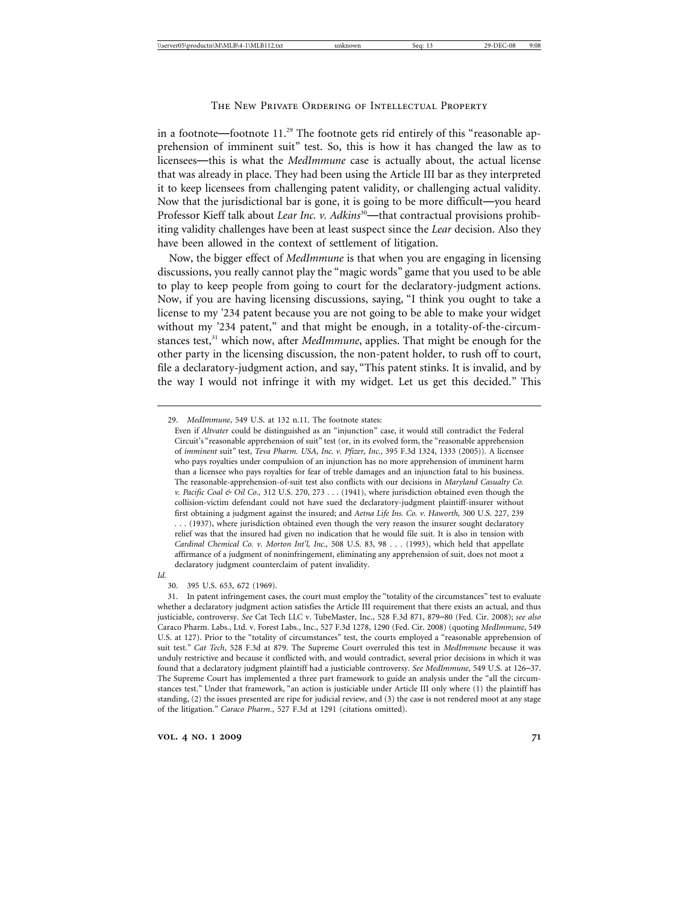in a footnote—footnote  $11<sup>29</sup>$  The footnote gets rid entirely of this "reasonable apprehension of imminent suit" test. So, this is how it has changed the law as to licensees—this is what the *MedImmune* case is actually about, the actual license that was already in place. They had been using the Article III bar as they interpreted it to keep licensees from challenging patent validity, or challenging actual validity. Now that the jurisdictional bar is gone, it is going to be more difficult—you heard Professor Kieff talk about *Lear Inc. v. Adkins*<sup>30</sup>—that contractual provisions prohibiting validity challenges have been at least suspect since the *Lear* decision. Also they have been allowed in the context of settlement of litigation.

Now, the bigger effect of *MedImmune* is that when you are engaging in licensing discussions, you really cannot play the "magic words" game that you used to be able to play to keep people from going to court for the declaratory-judgment actions. Now, if you are having licensing discussions, saying, "I think you ought to take a license to my '234 patent because you are not going to be able to make your widget without my '234 patent," and that might be enough, in a totality-of-the-circumstances test,<sup>31</sup> which now, after *MedImmune*, applies. That might be enough for the other party in the licensing discussion, the non-patent holder, to rush off to court, file a declaratory-judgment action, and say, "This patent stinks. It is invalid, and by the way I would not infringe it with my widget. Let us get this decided." This

*Id.*

<sup>29.</sup> *MedImmune*, 549 U.S. at 132 n.11. The footnote states:

Even if *Altvater* could be distinguished as an "injunction" case, it would still contradict the Federal Circuit's "reasonable apprehension of suit" test (or, in its evolved form, the "reasonable apprehension of *imminent* suit" test, *Teva Pharm. USA, Inc. v. Pfizer, Inc.,* 395 F.3d 1324, 1333 (2005)). A licensee who pays royalties under compulsion of an injunction has no more apprehension of imminent harm than a licensee who pays royalties for fear of treble damages and an injunction fatal to his business. The reasonable-apprehension-of-suit test also conflicts with our decisions in *Maryland Casualty Co. v. Pacific Coal & Oil Co.,* 312 U.S. 270, 273 . . . (1941), where jurisdiction obtained even though the collision-victim defendant could not have sued the declaratory-judgment plaintiff-insurer without first obtaining a judgment against the insured; and *Aetna Life Ins. Co. v. Haworth,* 300 U.S. 227, 239 . . . (1937), where jurisdiction obtained even though the very reason the insurer sought declaratory relief was that the insured had given no indication that he would file suit. It is also in tension with *Cardinal Chemical Co. v. Morton Int'l, Inc.,* 508 U.S. 83, 98 . . . (1993), which held that appellate affirmance of a judgment of noninfringement, eliminating any apprehension of suit, does not moot a declaratory judgment counterclaim of patent invalidity.

<sup>30. 395</sup> U.S. 653, 672 (1969).

<sup>31.</sup> In patent infringement cases, the court must employ the "totality of the circumstances" test to evaluate whether a declaratory judgment action satisfies the Article III requirement that there exists an actual, and thus justiciable, controversy. *See* Cat Tech LLC v. TubeMaster, Inc., 528 F.3d 871, 879–80 (Fed. Cir. 2008); *see also* Caraco Pharm. Labs., Ltd. v. Forest Labs., Inc., 527 F.3d 1278, 1290 (Fed. Cir. 2008) (quoting *MedImmune*, 549 U.S. at 127). Prior to the "totality of circumstances" test, the courts employed a "reasonable apprehension of suit test." *Cat Tech*, 528 F.3d at 879. The Supreme Court overruled this test in *MedImmune* because it was unduly restrictive and because it conflicted with, and would contradict, several prior decisions in which it was found that a declaratory judgment plaintiff had a justiciable controversy. *See MedImmune*, 549 U.S. at 126–37. The Supreme Court has implemented a three part framework to guide an analysis under the "all the circumstances test." Under that framework, "an action is justiciable under Article III only where (1) the plaintiff has standing, (2) the issues presented are ripe for judicial review, and (3) the case is not rendered moot at any stage of the litigation." *Caraco Pharm.*, 527 F.3d at 1291 (citations omitted).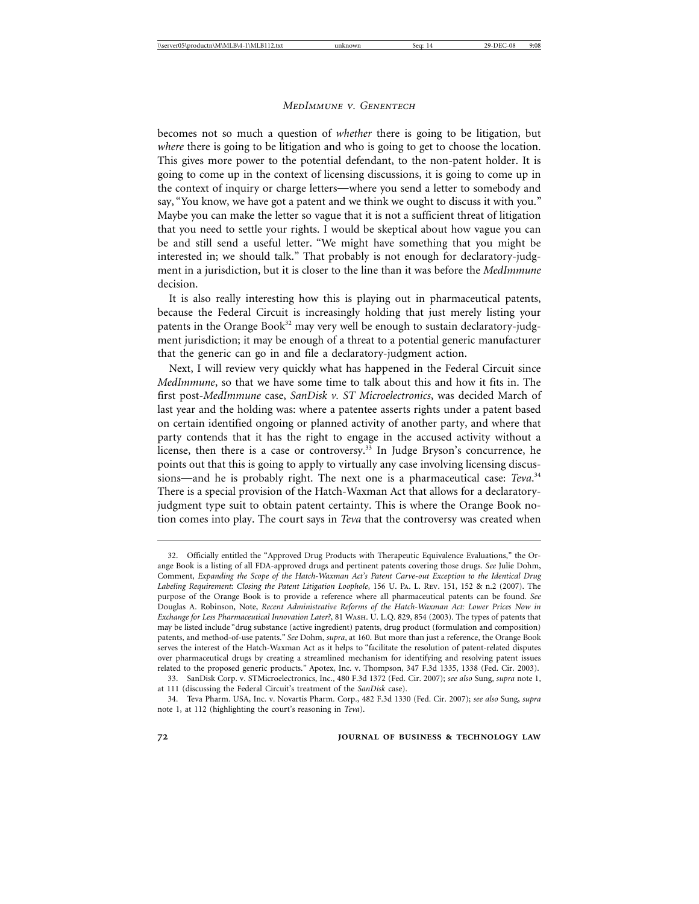becomes not so much a question of *whether* there is going to be litigation, but *where* there is going to be litigation and who is going to get to choose the location. This gives more power to the potential defendant, to the non-patent holder. It is going to come up in the context of licensing discussions, it is going to come up in the context of inquiry or charge letters—where you send a letter to somebody and say, "You know, we have got a patent and we think we ought to discuss it with you." Maybe you can make the letter so vague that it is not a sufficient threat of litigation that you need to settle your rights. I would be skeptical about how vague you can be and still send a useful letter. "We might have something that you might be interested in; we should talk." That probably is not enough for declaratory-judgment in a jurisdiction, but it is closer to the line than it was before the *MedImmune* decision.

It is also really interesting how this is playing out in pharmaceutical patents, because the Federal Circuit is increasingly holding that just merely listing your patents in the Orange Book $32$  may very well be enough to sustain declaratory-judgment jurisdiction; it may be enough of a threat to a potential generic manufacturer that the generic can go in and file a declaratory-judgment action.

Next, I will review very quickly what has happened in the Federal Circuit since *MedImmune*, so that we have some time to talk about this and how it fits in. The first post-*MedImmune* case, *SanDisk v. ST Microelectronics*, was decided March of last year and the holding was: where a patentee asserts rights under a patent based on certain identified ongoing or planned activity of another party, and where that party contends that it has the right to engage in the accused activity without a license, then there is a case or controversy.<sup>33</sup> In Judge Bryson's concurrence, he points out that this is going to apply to virtually any case involving licensing discussions—and he is probably right. The next one is a pharmaceutical case: *Teva*. 34 There is a special provision of the Hatch-Waxman Act that allows for a declaratoryjudgment type suit to obtain patent certainty. This is where the Orange Book notion comes into play. The court says in *Teva* that the controversy was created when

<sup>32.</sup> Officially entitled the "Approved Drug Products with Therapeutic Equivalence Evaluations," the Orange Book is a listing of all FDA-approved drugs and pertinent patents covering those drugs. *See* Julie Dohm, Comment, *Expanding the Scope of the Hatch-Waxman Act's Patent Carve-out Exception to the Identical Drug Labeling Requirement: Closing the Patent Litigation Loophole*, 156 U. Pa. L. Rev. 151, 152 & n.2 (2007). The purpose of the Orange Book is to provide a reference where all pharmaceutical patents can be found. *See* Douglas A. Robinson, Note, *Recent Administrative Reforms of the Hatch-Waxman Act: Lower Prices Now in Exchange for Less Pharmaceutical Innovation Later?*, 81 Wash. U. L.Q. 829, 854 (2003). The types of patents that may be listed include "drug substance (active ingredient) patents, drug product (formulation and composition) patents, and method-of-use patents." *See* Dohm, *supra*, at 160. But more than just a reference, the Orange Book serves the interest of the Hatch-Waxman Act as it helps to "facilitate the resolution of patent-related disputes over pharmaceutical drugs by creating a streamlined mechanism for identifying and resolving patent issues related to the proposed generic products." Apotex, Inc. v. Thompson, 347 F.3d 1335, 1338 (Fed. Cir. 2003).

<sup>33.</sup> SanDisk Corp. v. STMicroelectronics, Inc., 480 F.3d 1372 (Fed. Cir. 2007); *see also* Sung, *supra* note 1, at 111 (discussing the Federal Circuit's treatment of the *SanDisk* case).

<sup>34.</sup> Teva Pharm. USA, Inc. v. Novartis Pharm. Corp., 482 F.3d 1330 (Fed. Cir. 2007); *see also* Sung, *supra* note 1, at 112 (highlighting the court's reasoning in *Teva*).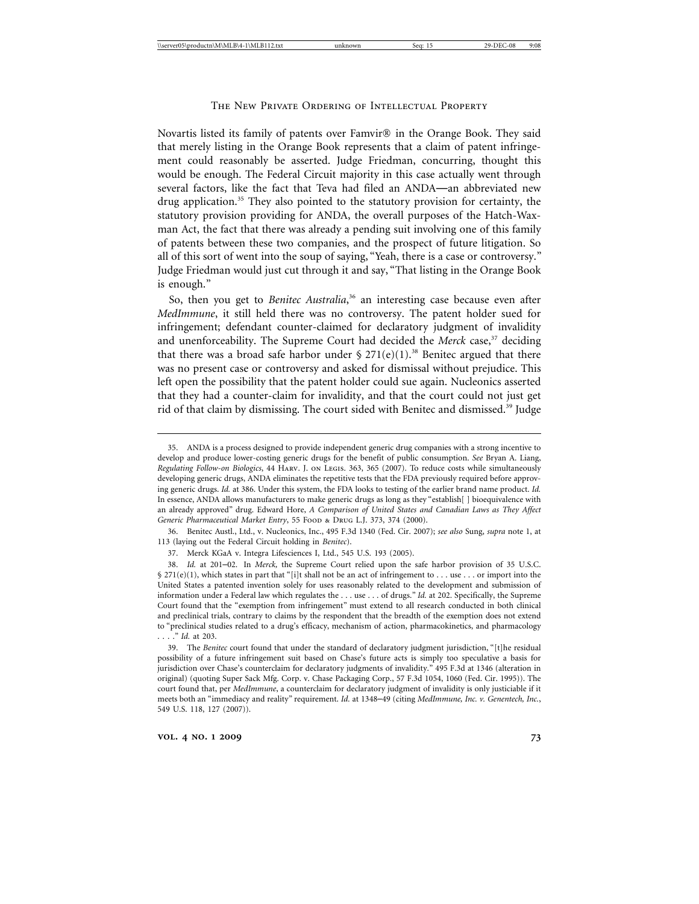Novartis listed its family of patents over  $F_{\text{amvir}}$  in the Orange Book. They said that merely listing in the Orange Book represents that a claim of patent infringement could reasonably be asserted. Judge Friedman, concurring, thought this would be enough. The Federal Circuit majority in this case actually went through several factors, like the fact that Teva had filed an ANDA—an abbreviated new drug application.35 They also pointed to the statutory provision for certainty, the statutory provision providing for ANDA, the overall purposes of the Hatch-Waxman Act, the fact that there was already a pending suit involving one of this family of patents between these two companies, and the prospect of future litigation. So all of this sort of went into the soup of saying, "Yeah, there is a case or controversy." Judge Friedman would just cut through it and say, "That listing in the Orange Book is enough."

So, then you get to *Benitec Australia*, 36 an interesting case because even after *MedImmune*, it still held there was no controversy. The patent holder sued for infringement; defendant counter-claimed for declaratory judgment of invalidity and unenforceability. The Supreme Court had decided the *Merck* case,<sup>37</sup> deciding that there was a broad safe harbor under  $\S 271(e)(1)$ .<sup>38</sup> Benitec argued that there was no present case or controversy and asked for dismissal without prejudice. This left open the possibility that the patent holder could sue again. Nucleonics asserted that they had a counter-claim for invalidity, and that the court could not just get rid of that claim by dismissing. The court sided with Benitec and dismissed.39 Judge

36. Benitec Austl., Ltd., v. Nucleonics, Inc., 495 F.3d 1340 (Fed. Cir. 2007); *see also* Sung, *supra* note 1, at 113 (laying out the Federal Circuit holding in *Benitec*).

<sup>35.</sup> ANDA is a process designed to provide independent generic drug companies with a strong incentive to develop and produce lower-costing generic drugs for the benefit of public consumption. *See* Bryan A. Liang, *Regulating Follow-on Biologics*, 44 Harv. J. on Legis. 363, 365 (2007). To reduce costs while simultaneously developing generic drugs, ANDA eliminates the repetitive tests that the FDA previously required before approving generic drugs. *Id.* at 386. Under this system, the FDA looks to testing of the earlier brand name product. *Id.* In essence, ANDA allows manufacturers to make generic drugs as long as they "establish[ ] bioequivalence with an already approved" drug. Edward Hore, *A Comparison of United States and Canadian Laws as They Affect Generic Pharmaceutical Market Entry*, 55 Food & Drug L.J. 373, 374 (2000).

<sup>37.</sup> Merck KGaA v. Integra Lifesciences I, Ltd., 545 U.S. 193 (2005).

<sup>38.</sup> *Id.* at 201–02. In *Merck,* the Supreme Court relied upon the safe harbor provision of 35 U.S.C.  $$271(e)(1)$ , which states in part that "[i]t shall not be an act of infringement to . . . use . . . or import into the United States a patented invention solely for uses reasonably related to the development and submission of information under a Federal law which regulates the . . . use . . . of drugs." *Id.* at 202. Specifically, the Supreme Court found that the "exemption from infringement" must extend to all research conducted in both clinical and preclinical trials, contrary to claims by the respondent that the breadth of the exemption does not extend to "preclinical studies related to a drug's efficacy, mechanism of action, pharmacokinetics, and pharmacology . . . ." *Id.* at 203.

<sup>39.</sup> The *Benitec* court found that under the standard of declaratory judgment jurisdiction, "[t]he residual possibility of a future infringement suit based on Chase's future acts is simply too speculative a basis for jurisdiction over Chase's counterclaim for declaratory judgments of invalidity." 495 F.3d at 1346 (alteration in original) (quoting Super Sack Mfg. Corp. v. Chase Packaging Corp., 57 F.3d 1054, 1060 (Fed. Cir. 1995)). The court found that, per *MedImmune*, a counterclaim for declaratory judgment of invalidity is only justiciable if it meets both an "immediacy and reality" requirement. *Id.* at 1348–49 (citing *MedImmune, Inc. v. Genentech, Inc.*, 549 U.S. 118, 127 (2007)).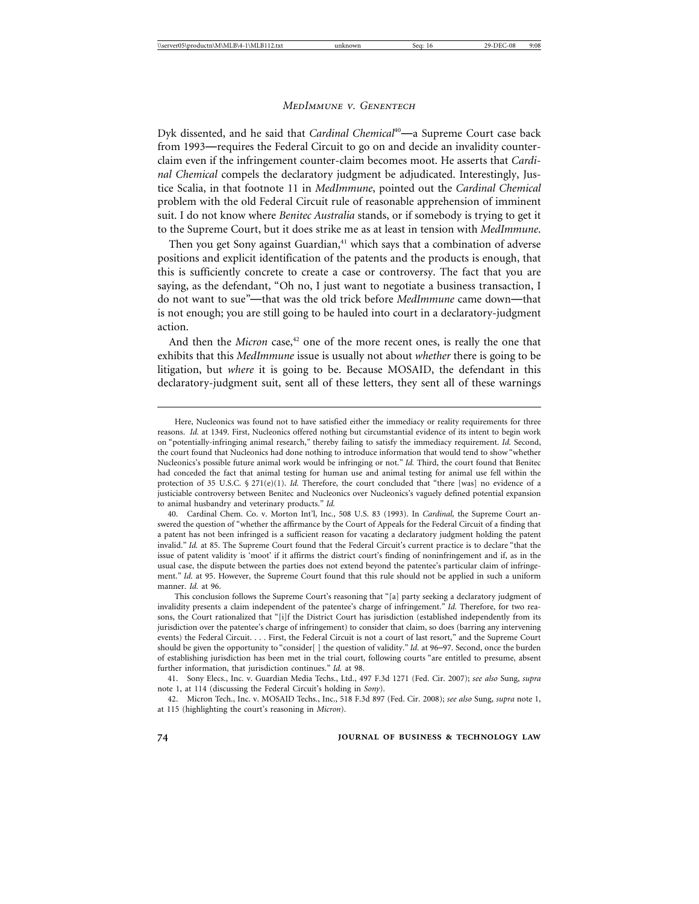Dyk dissented, and he said that *Cardinal Chemical*<sup>40</sup>—a Supreme Court case back from 1993—requires the Federal Circuit to go on and decide an invalidity counterclaim even if the infringement counter-claim becomes moot. He asserts that *Cardinal Chemical* compels the declaratory judgment be adjudicated. Interestingly, Justice Scalia, in that footnote 11 in *MedImmune*, pointed out the *Cardinal Chemical* problem with the old Federal Circuit rule of reasonable apprehension of imminent suit. I do not know where *Benitec Australia* stands, or if somebody is trying to get it to the Supreme Court, but it does strike me as at least in tension with *MedImmune*.

Then you get Sony against Guardian, $41$  which says that a combination of adverse positions and explicit identification of the patents and the products is enough, that this is sufficiently concrete to create a case or controversy. The fact that you are saying, as the defendant, "Oh no, I just want to negotiate a business transaction, I do not want to sue"—that was the old trick before *MedImmune* came down—that is not enough; you are still going to be hauled into court in a declaratory-judgment action.

And then the *Micron* case,<sup>42</sup> one of the more recent ones, is really the one that exhibits that this *MedImmune* issue is usually not about *whether* there is going to be litigation, but *where* it is going to be. Because MOSAID, the defendant in this declaratory-judgment suit, sent all of these letters, they sent all of these warnings

Here, Nucleonics was found not to have satisfied either the immediacy or reality requirements for three reasons. *Id.* at 1349. First, Nucleonics offered nothing but circumstantial evidence of its intent to begin work on "potentially-infringing animal research," thereby failing to satisfy the immediacy requirement. *Id.* Second, the court found that Nucleonics had done nothing to introduce information that would tend to show "whether Nucleonics's possible future animal work would be infringing or not." *Id.* Third, the court found that Benitec had conceded the fact that animal testing for human use and animal testing for animal use fell within the protection of 35 U.S.C. § 271(e)(1). *Id.* Therefore, the court concluded that "there [was] no evidence of a justiciable controversy between Benitec and Nucleonics over Nucleonics's vaguely defined potential expansion to animal husbandry and veterinary products." *Id.*

<sup>40.</sup> Cardinal Chem. Co. v. Morton Int'l, Inc., 508 U.S. 83 (1993). In *Cardinal,* the Supreme Court answered the question of "whether the affirmance by the Court of Appeals for the Federal Circuit of a finding that a patent has not been infringed is a sufficient reason for vacating a declaratory judgment holding the patent invalid." *Id.* at 85. The Supreme Court found that the Federal Circuit's current practice is to declare "that the issue of patent validity is 'moot' if it affirms the district court's finding of noninfringement and if, as in the usual case, the dispute between the parties does not extend beyond the patentee's particular claim of infringement." *Id.* at 95. However, the Supreme Court found that this rule should not be applied in such a uniform manner. *Id.* at 96.

This conclusion follows the Supreme Court's reasoning that "[a] party seeking a declaratory judgment of invalidity presents a claim independent of the patentee's charge of infringement." *Id.* Therefore, for two reasons, the Court rationalized that "[i]f the District Court has jurisdiction (established independently from its jurisdiction over the patentee's charge of infringement) to consider that claim, so does (barring any intervening events) the Federal Circuit. . . . First, the Federal Circuit is not a court of last resort," and the Supreme Court should be given the opportunity to "consider[ ] the question of validity." *Id.* at 96–97. Second, once the burden of establishing jurisdiction has been met in the trial court, following courts "are entitled to presume, absent further information, that jurisdiction continues." *Id.* at 98.

<sup>41.</sup> Sony Elecs., Inc. v. Guardian Media Techs., Ltd., 497 F.3d 1271 (Fed. Cir. 2007); *see also* Sung, *supra* note 1, at 114 (discussing the Federal Circuit's holding in *Sony*).

<sup>42.</sup> Micron Tech., Inc. v. MOSAID Techs., Inc., 518 F.3d 897 (Fed. Cir. 2008); *see also* Sung, *supra* note 1, at 115 (highlighting the court's reasoning in *Micron*).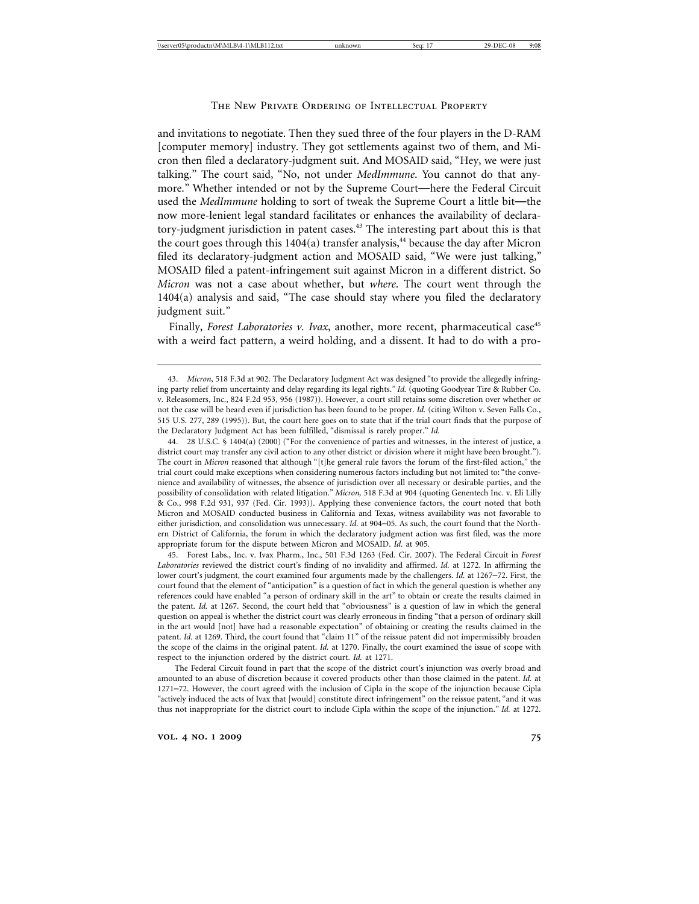and invitations to negotiate. Then they sued three of the four players in the D-RAM [computer memory] industry. They got settlements against two of them, and Micron then filed a declaratory-judgment suit. And MOSAID said, "Hey, we were just talking." The court said, "No, not under *MedImmune*. You cannot do that anymore." Whether intended or not by the Supreme Court—here the Federal Circuit used the *MedImmune* holding to sort of tweak the Supreme Court a little bit—the now more-lenient legal standard facilitates or enhances the availability of declaratory-judgment jurisdiction in patent cases.<sup>43</sup> The interesting part about this is that the court goes through this  $1404(a)$  transfer analysis,<sup>44</sup> because the day after Micron filed its declaratory-judgment action and MOSAID said, "We were just talking," MOSAID filed a patent-infringement suit against Micron in a different district. So *Micron* was not a case about whether, but *where*. The court went through the 1404(a) analysis and said, "The case should stay where you filed the declaratory judgment suit."

Finally, *Forest Laboratories v. Ivax*, another, more recent, pharmaceutical case<sup>45</sup> with a weird fact pattern, a weird holding, and a dissent. It had to do with a pro-

45. Forest Labs., Inc. v. Ivax Pharm., Inc., 501 F.3d 1263 (Fed. Cir. 2007). The Federal Circuit in *Forest Laboratories* reviewed the district court's finding of no invalidity and affirmed. *Id.* at 1272. In affirming the lower court's judgment, the court examined four arguments made by the challengers. *Id.* at 1267–72. First, the court found that the element of "anticipation" is a question of fact in which the general question is whether any references could have enabled "a person of ordinary skill in the art" to obtain or create the results claimed in the patent. *Id.* at 1267. Second, the court held that "obviousness" is a question of law in which the general question on appeal is whether the district court was clearly erroneous in finding "that a person of ordinary skill in the art would [not] have had a reasonable expectation" of obtaining or creating the results claimed in the patent. *Id.* at 1269. Third, the court found that "claim 11" of the reissue patent did not impermissibly broaden the scope of the claims in the original patent. *Id.* at 1270. Finally, the court examined the issue of scope with respect to the injunction ordered by the district court. *Id.* at 1271.

The Federal Circuit found in part that the scope of the district court's injunction was overly broad and amounted to an abuse of discretion because it covered products other than those claimed in the patent. *Id.* at 1271–72. However, the court agreed with the inclusion of Cipla in the scope of the injunction because Cipla "actively induced the acts of Ivax that [would] constitute direct infringement" on the reissue patent, "and it was thus not inappropriate for the district court to include Cipla within the scope of the injunction." *Id.* at 1272.

<sup>43.</sup> *Micron*, 518 F.3d at 902. The Declaratory Judgment Act was designed "to provide the allegedly infringing party relief from uncertainty and delay regarding its legal rights." *Id.* (quoting Goodyear Tire & Rubber Co. v. Releasomers, Inc., 824 F.2d 953, 956 (1987)). However, a court still retains some discretion over whether or not the case will be heard even if jurisdiction has been found to be proper. *Id.* (citing Wilton v. Seven Falls Co., 515 U.S. 277, 289 (1995)). But, the court here goes on to state that if the trial court finds that the purpose of the Declaratory Judgment Act has been fulfilled, "dismissal is rarely proper." *Id.*

<sup>44. 28</sup> U.S.C. § 1404(a) (2000) ("For the convenience of parties and witnesses, in the interest of justice, a district court may transfer any civil action to any other district or division where it might have been brought."). The court in *Micron* reasoned that although "[t]he general rule favors the forum of the first-filed action," the trial court could make exceptions when considering numerous factors including but not limited to: "the convenience and availability of witnesses, the absence of jurisdiction over all necessary or desirable parties, and the possibility of consolidation with related litigation." *Micron,* 518 F.3d at 904 (quoting Genentech Inc. v. Eli Lilly & Co., 998 F.2d 931, 937 (Fed. Cir. 1993)). Applying these convenience factors, the court noted that both Micron and MOSAID conducted business in California and Texas, witness availability was not favorable to either jurisdiction, and consolidation was unnecessary. *Id.* at 904–05. As such, the court found that the Northern District of California, the forum in which the declaratory judgment action was first filed, was the more appropriate forum for the dispute between Micron and MOSAID. *Id.* at 905.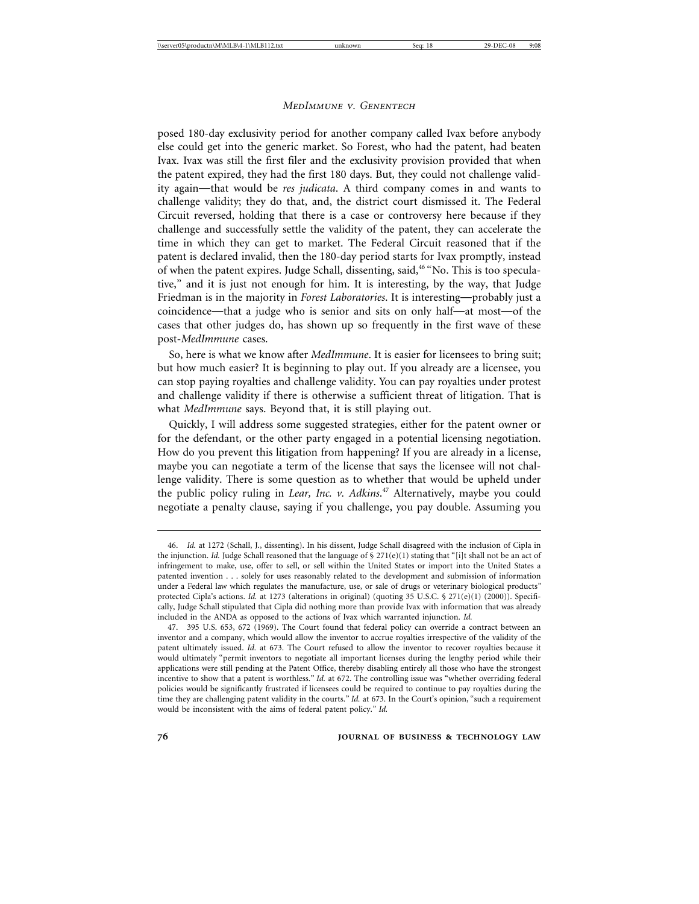posed 180-day exclusivity period for another company called Ivax before anybody else could get into the generic market. So Forest, who had the patent, had beaten Ivax. Ivax was still the first filer and the exclusivity provision provided that when the patent expired, they had the first 180 days. But, they could not challenge validity again—that would be *res judicata*. A third company comes in and wants to challenge validity; they do that, and, the district court dismissed it. The Federal Circuit reversed, holding that there is a case or controversy here because if they challenge and successfully settle the validity of the patent, they can accelerate the time in which they can get to market. The Federal Circuit reasoned that if the patent is declared invalid, then the 180-day period starts for Ivax promptly, instead of when the patent expires. Judge Schall, dissenting, said,<sup>46</sup> "No. This is too speculative," and it is just not enough for him. It is interesting, by the way, that Judge Friedman is in the majority in *Forest Laboratories*. It is interesting—probably just a coincidence—that a judge who is senior and sits on only half—at most—of the cases that other judges do, has shown up so frequently in the first wave of these post-*MedImmune* cases.

So, here is what we know after *MedImmune*. It is easier for licensees to bring suit; but how much easier? It is beginning to play out. If you already are a licensee, you can stop paying royalties and challenge validity. You can pay royalties under protest and challenge validity if there is otherwise a sufficient threat of litigation. That is what *MedImmune* says. Beyond that, it is still playing out.

Quickly, I will address some suggested strategies, either for the patent owner or for the defendant, or the other party engaged in a potential licensing negotiation. How do you prevent this litigation from happening? If you are already in a license, maybe you can negotiate a term of the license that says the licensee will not challenge validity. There is some question as to whether that would be upheld under the public policy ruling in *Lear, Inc. v. Adkins*. 47 Alternatively, maybe you could negotiate a penalty clause, saying if you challenge, you pay double. Assuming you

<sup>46.</sup> *Id.* at 1272 (Schall, J., dissenting). In his dissent, Judge Schall disagreed with the inclusion of Cipla in the injunction. *Id.* Judge Schall reasoned that the language of § 271(e)(1) stating that "[i]t shall not be an act of infringement to make, use, offer to sell, or sell within the United States or import into the United States a patented invention . . . solely for uses reasonably related to the development and submission of information under a Federal law which regulates the manufacture, use, or sale of drugs or veterinary biological products" protected Cipla's actions. *Id.* at 1273 (alterations in original) (quoting 35 U.S.C. § 271(e)(1) (2000)). Specifically, Judge Schall stipulated that Cipla did nothing more than provide Ivax with information that was already included in the ANDA as opposed to the actions of Ivax which warranted injunction. *Id.*

<sup>47. 395</sup> U.S. 653, 672 (1969). The Court found that federal policy can override a contract between an inventor and a company, which would allow the inventor to accrue royalties irrespective of the validity of the patent ultimately issued. *Id.* at 673. The Court refused to allow the inventor to recover royalties because it would ultimately "permit inventors to negotiate all important licenses during the lengthy period while their applications were still pending at the Patent Office, thereby disabling entirely all those who have the strongest incentive to show that a patent is worthless." *Id.* at 672. The controlling issue was "whether overriding federal policies would be significantly frustrated if licensees could be required to continue to pay royalties during the time they are challenging patent validity in the courts." *Id.* at 673. In the Court's opinion, "such a requirement would be inconsistent with the aims of federal patent policy." *Id.*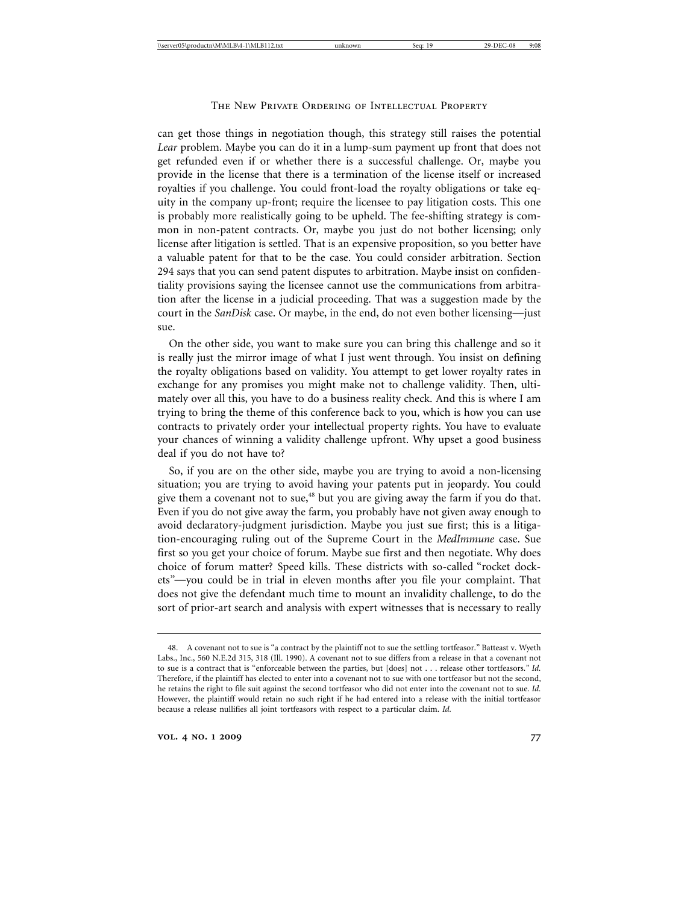can get those things in negotiation though, this strategy still raises the potential *Lear* problem. Maybe you can do it in a lump-sum payment up front that does not get refunded even if or whether there is a successful challenge. Or, maybe you provide in the license that there is a termination of the license itself or increased royalties if you challenge. You could front-load the royalty obligations or take equity in the company up-front; require the licensee to pay litigation costs. This one is probably more realistically going to be upheld. The fee-shifting strategy is common in non-patent contracts. Or, maybe you just do not bother licensing; only license after litigation is settled. That is an expensive proposition, so you better have a valuable patent for that to be the case. You could consider arbitration. Section 294 says that you can send patent disputes to arbitration. Maybe insist on confidentiality provisions saying the licensee cannot use the communications from arbitration after the license in a judicial proceeding. That was a suggestion made by the court in the *SanDisk* case. Or maybe, in the end, do not even bother licensing—just sue.

On the other side, you want to make sure you can bring this challenge and so it is really just the mirror image of what I just went through. You insist on defining the royalty obligations based on validity. You attempt to get lower royalty rates in exchange for any promises you might make not to challenge validity. Then, ultimately over all this, you have to do a business reality check. And this is where I am trying to bring the theme of this conference back to you, which is how you can use contracts to privately order your intellectual property rights. You have to evaluate your chances of winning a validity challenge upfront. Why upset a good business deal if you do not have to?

So, if you are on the other side, maybe you are trying to avoid a non-licensing situation; you are trying to avoid having your patents put in jeopardy. You could give them a covenant not to sue,<sup>48</sup> but you are giving away the farm if you do that. Even if you do not give away the farm, you probably have not given away enough to avoid declaratory-judgment jurisdiction. Maybe you just sue first; this is a litigation-encouraging ruling out of the Supreme Court in the *MedImmune* case. Sue first so you get your choice of forum. Maybe sue first and then negotiate. Why does choice of forum matter? Speed kills. These districts with so-called "rocket dockets"—you could be in trial in eleven months after you file your complaint. That does not give the defendant much time to mount an invalidity challenge, to do the sort of prior-art search and analysis with expert witnesses that is necessary to really

<sup>48.</sup> A covenant not to sue is "a contract by the plaintiff not to sue the settling tortfeasor." Batteast v. Wyeth Labs., Inc., 560 N.E.2d 315, 318 (Ill. 1990). A covenant not to sue differs from a release in that a covenant not to sue is a contract that is "enforceable between the parties, but [does] not . . . release other tortfeasors." *Id.* Therefore, if the plaintiff has elected to enter into a covenant not to sue with one tortfeasor but not the second, he retains the right to file suit against the second tortfeasor who did not enter into the covenant not to sue. *Id.* However, the plaintiff would retain no such right if he had entered into a release with the initial tortfeasor because a release nullifies all joint tortfeasors with respect to a particular claim. *Id.*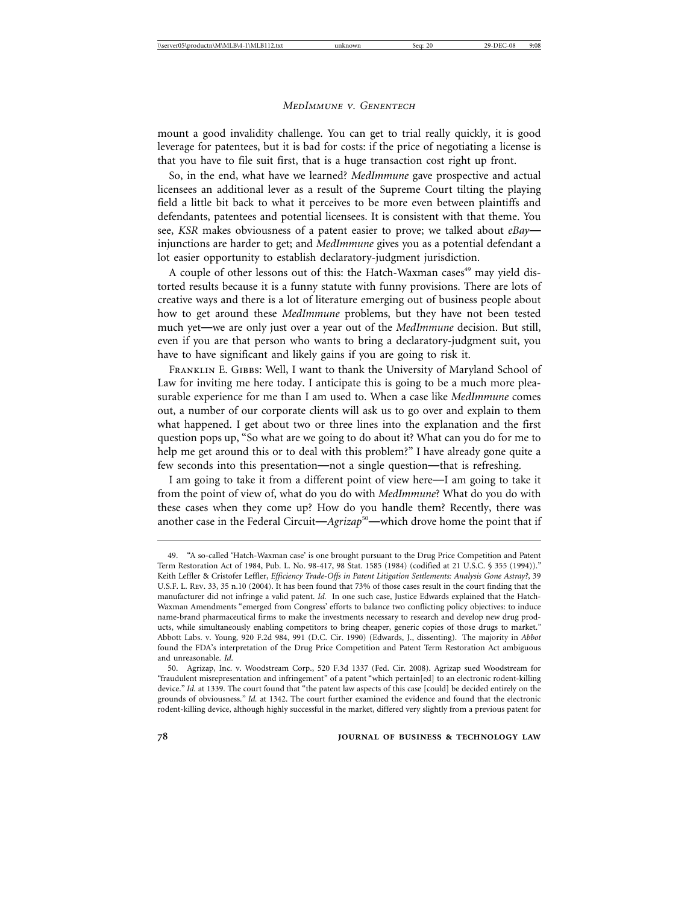mount a good invalidity challenge. You can get to trial really quickly, it is good leverage for patentees, but it is bad for costs: if the price of negotiating a license is that you have to file suit first, that is a huge transaction cost right up front.

So, in the end, what have we learned? *MedImmune* gave prospective and actual licensees an additional lever as a result of the Supreme Court tilting the playing field a little bit back to what it perceives to be more even between plaintiffs and defendants, patentees and potential licensees. It is consistent with that theme. You see, *KSR* makes obviousness of a patent easier to prove; we talked about *eBay* injunctions are harder to get; and *MedImmune* gives you as a potential defendant a lot easier opportunity to establish declaratory-judgment jurisdiction.

A couple of other lessons out of this: the Hatch-Waxman cases<sup>49</sup> may yield distorted results because it is a funny statute with funny provisions. There are lots of creative ways and there is a lot of literature emerging out of business people about how to get around these *MedImmune* problems, but they have not been tested much yet—we are only just over a year out of the *MedImmune* decision. But still, even if you are that person who wants to bring a declaratory-judgment suit, you have to have significant and likely gains if you are going to risk it.

Franklin E. Gibbs: Well, I want to thank the University of Maryland School of Law for inviting me here today. I anticipate this is going to be a much more pleasurable experience for me than I am used to. When a case like *MedImmune* comes out, a number of our corporate clients will ask us to go over and explain to them what happened. I get about two or three lines into the explanation and the first question pops up, "So what are we going to do about it? What can you do for me to help me get around this or to deal with this problem?" I have already gone quite a few seconds into this presentation—not a single question—that is refreshing.

I am going to take it from a different point of view here—I am going to take it from the point of view of, what do you do with *MedImmune*? What do you do with these cases when they come up? How do you handle them? Recently, there was another case in the Federal Circuit—*Agrizap*<sup>50</sup>—which drove home the point that if

<sup>49. &</sup>quot;A so-called 'Hatch-Waxman case' is one brought pursuant to the Drug Price Competition and Patent Term Restoration Act of 1984, Pub. L. No. 98-417, 98 Stat. 1585 (1984) (codified at 21 U.S.C. § 355 (1994))." Keith Leffler & Cristofer Leffler, *Efficiency Trade-Offs in Patent Litigation Settlements: Analysis Gone Astray?*, 39 U.S.F. L. Rev. 33, 35 n.10 (2004). It has been found that 73% of those cases result in the court finding that the manufacturer did not infringe a valid patent. *Id.* In one such case, Justice Edwards explained that the Hatch-Waxman Amendments "emerged from Congress' efforts to balance two conflicting policy objectives: to induce name-brand pharmaceutical firms to make the investments necessary to research and develop new drug products, while simultaneously enabling competitors to bring cheaper, generic copies of those drugs to market." Abbott Labs. v. Young*,* 920 F.2d 984, 991 (D.C. Cir. 1990) (Edwards, J., dissenting). The majority in *Abbot* found the FDA's interpretation of the Drug Price Competition and Patent Term Restoration Act ambiguous and unreasonable. *Id*.

<sup>50.</sup> Agrizap, Inc. v. Woodstream Corp., 520 F.3d 1337 (Fed. Cir. 2008). Agrizap sued Woodstream for "fraudulent misrepresentation and infringement" of a patent "which pertain[ed] to an electronic rodent-killing device." *Id.* at 1339. The court found that "the patent law aspects of this case [could] be decided entirely on the grounds of obviousness." *Id.* at 1342. The court further examined the evidence and found that the electronic rodent-killing device, although highly successful in the market, differed very slightly from a previous patent for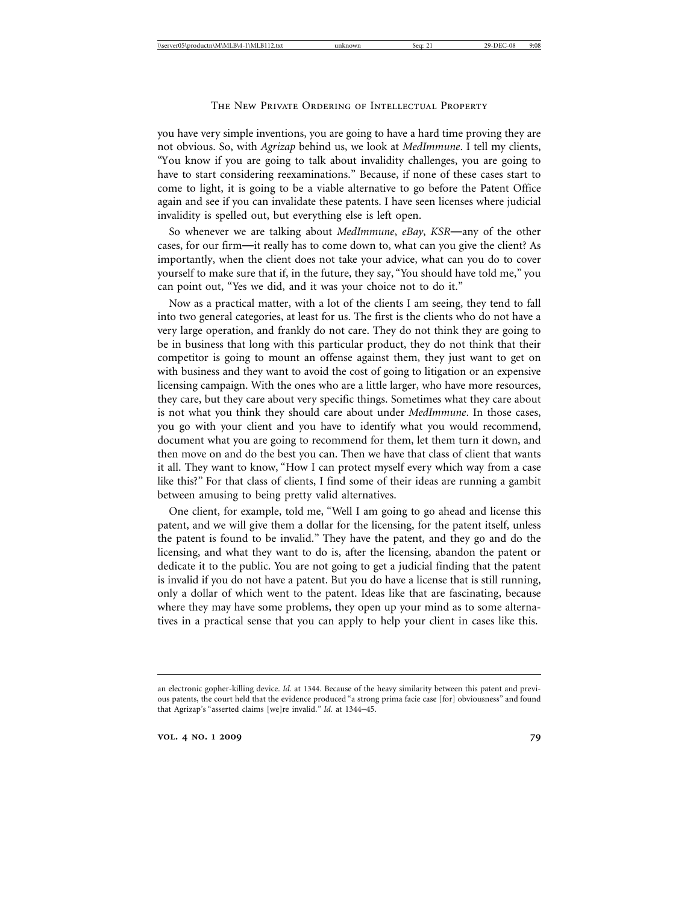you have very simple inventions, you are going to have a hard time proving they are not obvious. So, with *Agrizap* behind us, we look at *MedImmune*. I tell my clients, "You know if you are going to talk about invalidity challenges, you are going to have to start considering reexaminations." Because, if none of these cases start to come to light, it is going to be a viable alternative to go before the Patent Office again and see if you can invalidate these patents. I have seen licenses where judicial invalidity is spelled out, but everything else is left open.

So whenever we are talking about *MedImmune*, *eBay*, *KSR*—any of the other cases, for our firm—it really has to come down to, what can you give the client? As importantly, when the client does not take your advice, what can you do to cover yourself to make sure that if, in the future, they say, "You should have told me," you can point out, "Yes we did, and it was your choice not to do it."

Now as a practical matter, with a lot of the clients I am seeing, they tend to fall into two general categories, at least for us. The first is the clients who do not have a very large operation, and frankly do not care. They do not think they are going to be in business that long with this particular product, they do not think that their competitor is going to mount an offense against them, they just want to get on with business and they want to avoid the cost of going to litigation or an expensive licensing campaign. With the ones who are a little larger, who have more resources, they care, but they care about very specific things. Sometimes what they care about is not what you think they should care about under *MedImmune*. In those cases, you go with your client and you have to identify what you would recommend, document what you are going to recommend for them, let them turn it down, and then move on and do the best you can. Then we have that class of client that wants it all. They want to know, "How I can protect myself every which way from a case like this?" For that class of clients, I find some of their ideas are running a gambit between amusing to being pretty valid alternatives.

One client, for example, told me, "Well I am going to go ahead and license this patent, and we will give them a dollar for the licensing, for the patent itself, unless the patent is found to be invalid." They have the patent, and they go and do the licensing, and what they want to do is, after the licensing, abandon the patent or dedicate it to the public. You are not going to get a judicial finding that the patent is invalid if you do not have a patent. But you do have a license that is still running, only a dollar of which went to the patent. Ideas like that are fascinating, because where they may have some problems, they open up your mind as to some alternatives in a practical sense that you can apply to help your client in cases like this.

an electronic gopher-killing device. *Id.* at 1344. Because of the heavy similarity between this patent and previous patents, the court held that the evidence produced "a strong prima facie case [for] obviousness" and found that Agrizap's "asserted claims [we]re invalid." *Id.* at 1344–45.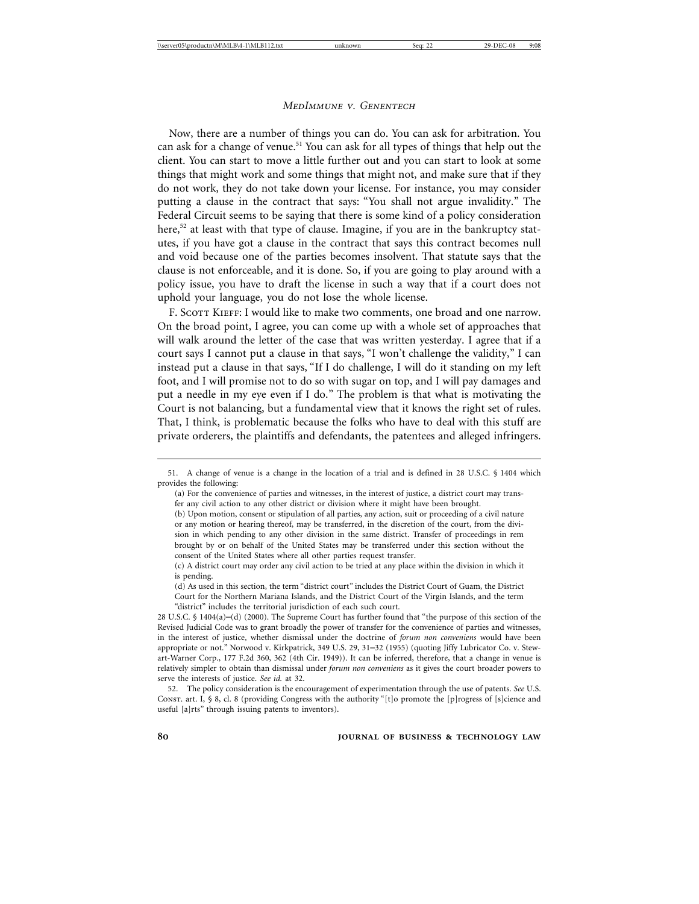Now, there are a number of things you can do. You can ask for arbitration. You can ask for a change of venue.<sup>51</sup> You can ask for all types of things that help out the client. You can start to move a little further out and you can start to look at some things that might work and some things that might not, and make sure that if they do not work, they do not take down your license. For instance, you may consider putting a clause in the contract that says: "You shall not argue invalidity." The Federal Circuit seems to be saying that there is some kind of a policy consideration here, $52$  at least with that type of clause. Imagine, if you are in the bankruptcy statutes, if you have got a clause in the contract that says this contract becomes null and void because one of the parties becomes insolvent. That statute says that the clause is not enforceable, and it is done. So, if you are going to play around with a policy issue, you have to draft the license in such a way that if a court does not uphold your language, you do not lose the whole license.

F. SCOTT KIEFF: I would like to make two comments, one broad and one narrow. On the broad point, I agree, you can come up with a whole set of approaches that will walk around the letter of the case that was written yesterday. I agree that if a court says I cannot put a clause in that says, "I won't challenge the validity," I can instead put a clause in that says, "If I do challenge, I will do it standing on my left foot, and I will promise not to do so with sugar on top, and I will pay damages and put a needle in my eye even if I do." The problem is that what is motivating the Court is not balancing, but a fundamental view that it knows the right set of rules. That, I think, is problematic because the folks who have to deal with this stuff are private orderers, the plaintiffs and defendants, the patentees and alleged infringers.

<sup>51.</sup> A change of venue is a change in the location of a trial and is defined in 28 U.S.C. § 1404 which provides the following:

<sup>(</sup>a) For the convenience of parties and witnesses, in the interest of justice, a district court may transfer any civil action to any other district or division where it might have been brought.

<sup>(</sup>b) Upon motion, consent or stipulation of all parties, any action, suit or proceeding of a civil nature or any motion or hearing thereof, may be transferred, in the discretion of the court, from the division in which pending to any other division in the same district. Transfer of proceedings in rem brought by or on behalf of the United States may be transferred under this section without the consent of the United States where all other parties request transfer.

<sup>(</sup>c) A district court may order any civil action to be tried at any place within the division in which it is pending.

<sup>(</sup>d) As used in this section, the term "district court" includes the District Court of Guam, the District Court for the Northern Mariana Islands, and the District Court of the Virgin Islands, and the term "district" includes the territorial jurisdiction of each such court.

<sup>28</sup> U.S.C. § 1404(a)–(d) (2000). The Supreme Court has further found that "the purpose of this section of the Revised Judicial Code was to grant broadly the power of transfer for the convenience of parties and witnesses, in the interest of justice, whether dismissal under the doctrine of *forum non conveniens* would have been appropriate or not." Norwood v. Kirkpatrick, 349 U.S. 29, 31–32 (1955) (quoting Jiffy Lubricator Co. v. Stewart-Warner Corp., 177 F.2d 360, 362 (4th Cir. 1949)). It can be inferred, therefore, that a change in venue is relatively simpler to obtain than dismissal under *forum non conveniens* as it gives the court broader powers to serve the interests of justice. *See id.* at 32.

<sup>52.</sup> The policy consideration is the encouragement of experimentation through the use of patents. *See* U.S. Const. art. I, § 8, cl. 8 (providing Congress with the authority "[t]o promote the [p]rogress of [s]cience and useful [a]rts" through issuing patents to inventors).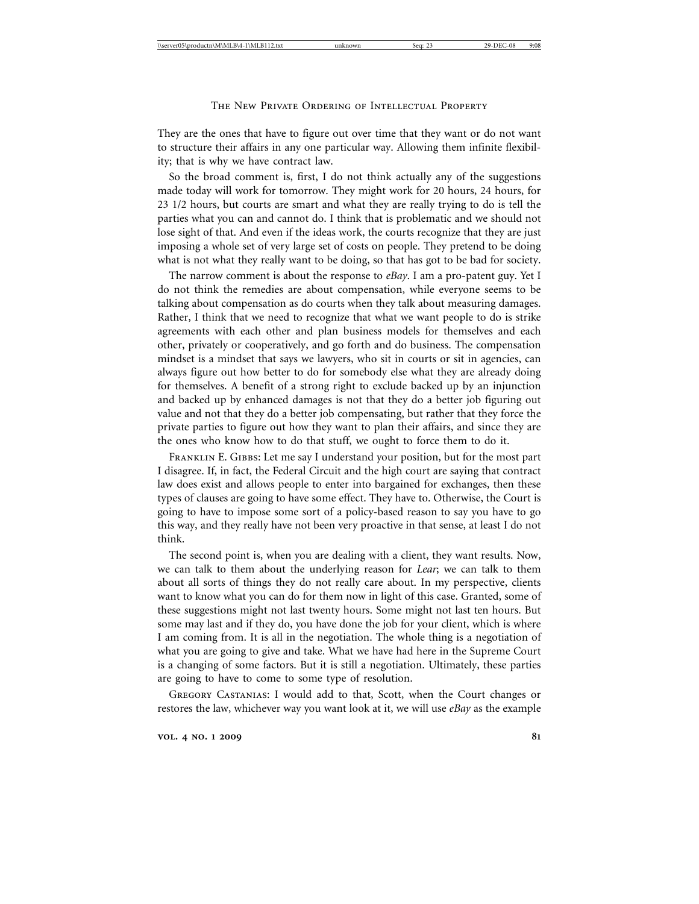They are the ones that have to figure out over time that they want or do not want to structure their affairs in any one particular way. Allowing them infinite flexibility; that is why we have contract law.

So the broad comment is, first, I do not think actually any of the suggestions made today will work for tomorrow. They might work for 20 hours, 24 hours, for 23 1/2 hours, but courts are smart and what they are really trying to do is tell the parties what you can and cannot do. I think that is problematic and we should not lose sight of that. And even if the ideas work, the courts recognize that they are just imposing a whole set of very large set of costs on people. They pretend to be doing what is not what they really want to be doing, so that has got to be bad for society.

The narrow comment is about the response to *eBay*. I am a pro-patent guy. Yet I do not think the remedies are about compensation, while everyone seems to be talking about compensation as do courts when they talk about measuring damages. Rather, I think that we need to recognize that what we want people to do is strike agreements with each other and plan business models for themselves and each other, privately or cooperatively, and go forth and do business. The compensation mindset is a mindset that says we lawyers, who sit in courts or sit in agencies, can always figure out how better to do for somebody else what they are already doing for themselves. A benefit of a strong right to exclude backed up by an injunction and backed up by enhanced damages is not that they do a better job figuring out value and not that they do a better job compensating, but rather that they force the private parties to figure out how they want to plan their affairs, and since they are the ones who know how to do that stuff, we ought to force them to do it.

FRANKLIN E. GIBBS: Let me say I understand your position, but for the most part I disagree. If, in fact, the Federal Circuit and the high court are saying that contract law does exist and allows people to enter into bargained for exchanges, then these types of clauses are going to have some effect. They have to. Otherwise, the Court is going to have to impose some sort of a policy-based reason to say you have to go this way, and they really have not been very proactive in that sense, at least I do not think.

The second point is, when you are dealing with a client, they want results. Now, we can talk to them about the underlying reason for *Lear*; we can talk to them about all sorts of things they do not really care about. In my perspective, clients want to know what you can do for them now in light of this case. Granted, some of these suggestions might not last twenty hours. Some might not last ten hours. But some may last and if they do, you have done the job for your client, which is where I am coming from. It is all in the negotiation. The whole thing is a negotiation of what you are going to give and take. What we have had here in the Supreme Court is a changing of some factors. But it is still a negotiation. Ultimately, these parties are going to have to come to some type of resolution.

Gregory Castanias: I would add to that, Scott, when the Court changes or restores the law, whichever way you want look at it, we will use *eBay* as the example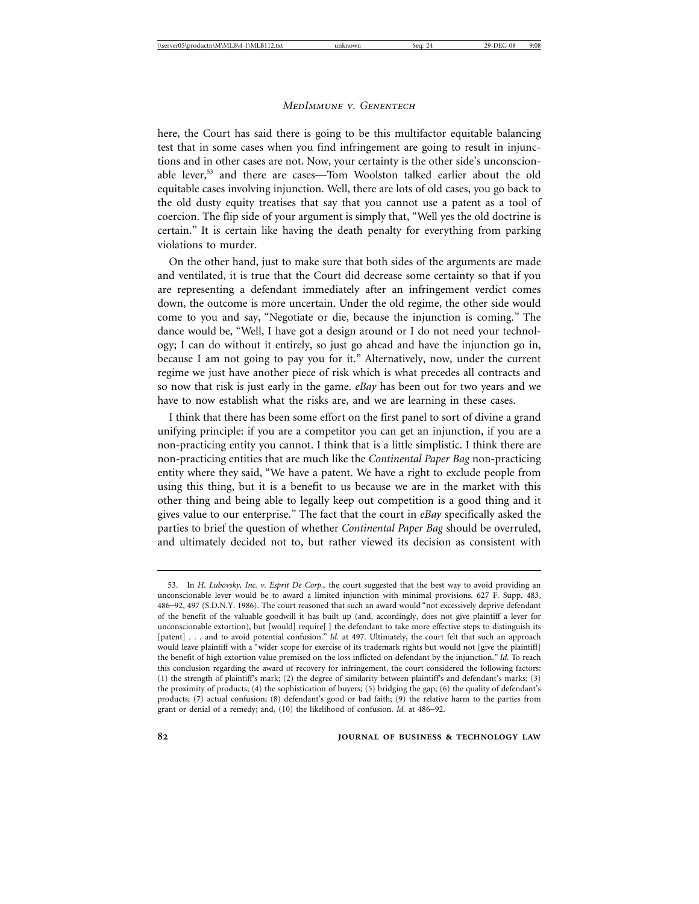here, the Court has said there is going to be this multifactor equitable balancing test that in some cases when you find infringement are going to result in injunctions and in other cases are not. Now, your certainty is the other side's unconscionable lever,<sup>53</sup> and there are cases—Tom Woolston talked earlier about the old equitable cases involving injunction. Well, there are lots of old cases, you go back to the old dusty equity treatises that say that you cannot use a patent as a tool of coercion. The flip side of your argument is simply that, "Well yes the old doctrine is certain." It is certain like having the death penalty for everything from parking violations to murder.

On the other hand, just to make sure that both sides of the arguments are made and ventilated, it is true that the Court did decrease some certainty so that if you are representing a defendant immediately after an infringement verdict comes down, the outcome is more uncertain. Under the old regime, the other side would come to you and say, "Negotiate or die, because the injunction is coming." The dance would be, "Well, I have got a design around or I do not need your technology; I can do without it entirely, so just go ahead and have the injunction go in, because I am not going to pay you for it." Alternatively, now, under the current regime we just have another piece of risk which is what precedes all contracts and so now that risk is just early in the game. *eBay* has been out for two years and we have to now establish what the risks are, and we are learning in these cases.

I think that there has been some effort on the first panel to sort of divine a grand unifying principle: if you are a competitor you can get an injunction, if you are a non-practicing entity you cannot. I think that is a little simplistic. I think there are non-practicing entities that are much like the *Continental Paper Bag* non-practicing entity where they said, "We have a patent. We have a right to exclude people from using this thing, but it is a benefit to us because we are in the market with this other thing and being able to legally keep out competition is a good thing and it gives value to our enterprise." The fact that the court in *eBay* specifically asked the parties to brief the question of whether *Continental Paper Bag* should be overruled, and ultimately decided not to, but rather viewed its decision as consistent with

<sup>53.</sup> In *H. Lubovsky, Inc. v. Esprit De Corp.,* the court suggested that the best way to avoid providing an unconscionable lever would be to award a limited injunction with minimal provisions. 627 F. Supp. 483, 486–92, 497 (S.D.N.Y. 1986). The court reasoned that such an award would "not excessively deprive defendant of the benefit of the valuable goodwill it has built up (and, accordingly, does not give plaintiff a lever for unconscionable extortion), but [would] require[ ] the defendant to take more effective steps to distinguish its [patent] . . . and to avoid potential confusion." *Id.* at 497. Ultimately, the court felt that such an approach would leave plaintiff with a "wider scope for exercise of its trademark rights but would not [give the plaintiff] the benefit of high extortion value premised on the loss inflicted on defendant by the injunction." *Id.* To reach this conclusion regarding the award of recovery for infringement, the court considered the following factors: (1) the strength of plaintiff's mark; (2) the degree of similarity between plaintiff's and defendant's marks; (3) the proximity of products; (4) the sophistication of buyers; (5) bridging the gap; (6) the quality of defendant's products; (7) actual confusion; (8) defendant's good or bad faith; (9) the relative harm to the parties from grant or denial of a remedy; and, (10) the likelihood of confusion. *Id.* at 486–92.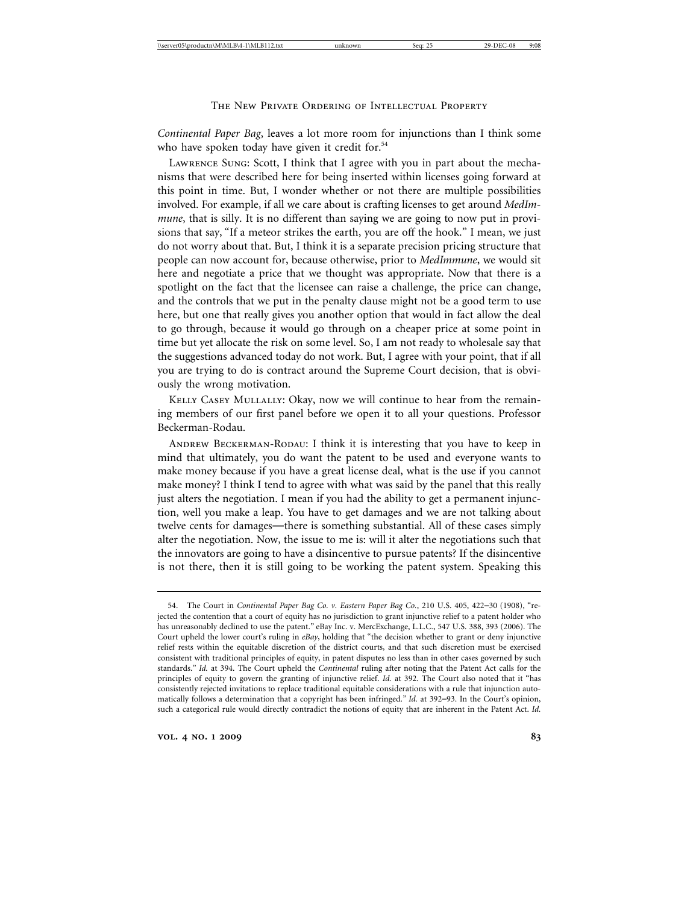*Continental Paper Bag*, leaves a lot more room for injunctions than I think some who have spoken today have given it credit for.<sup>54</sup>

Lawrence Sung: Scott, I think that I agree with you in part about the mechanisms that were described here for being inserted within licenses going forward at this point in time. But, I wonder whether or not there are multiple possibilities involved. For example, if all we care about is crafting licenses to get around *MedImmune*, that is silly. It is no different than saying we are going to now put in provisions that say, "If a meteor strikes the earth, you are off the hook." I mean, we just do not worry about that. But, I think it is a separate precision pricing structure that people can now account for, because otherwise, prior to *MedImmune*, we would sit here and negotiate a price that we thought was appropriate. Now that there is a spotlight on the fact that the licensee can raise a challenge, the price can change, and the controls that we put in the penalty clause might not be a good term to use here, but one that really gives you another option that would in fact allow the deal to go through, because it would go through on a cheaper price at some point in time but yet allocate the risk on some level. So, I am not ready to wholesale say that the suggestions advanced today do not work. But, I agree with your point, that if all you are trying to do is contract around the Supreme Court decision, that is obviously the wrong motivation.

Kelly Casey Mullally: Okay, now we will continue to hear from the remaining members of our first panel before we open it to all your questions. Professor Beckerman-Rodau.

Andrew Beckerman-Rodau: I think it is interesting that you have to keep in mind that ultimately, you do want the patent to be used and everyone wants to make money because if you have a great license deal, what is the use if you cannot make money? I think I tend to agree with what was said by the panel that this really just alters the negotiation. I mean if you had the ability to get a permanent injunction, well you make a leap. You have to get damages and we are not talking about twelve cents for damages—there is something substantial. All of these cases simply alter the negotiation. Now, the issue to me is: will it alter the negotiations such that the innovators are going to have a disincentive to pursue patents? If the disincentive is not there, then it is still going to be working the patent system. Speaking this

<sup>54.</sup> The Court in *Continental Paper Bag Co. v. Eastern Paper Bag Co.*, 210 U.S. 405, 422–30 (1908), "rejected the contention that a court of equity has no jurisdiction to grant injunctive relief to a patent holder who has unreasonably declined to use the patent." eBay Inc. v. MercExchange, L.L.C., 547 U.S. 388, 393 (2006). The Court upheld the lower court's ruling in *eBay*, holding that "the decision whether to grant or deny injunctive relief rests within the equitable discretion of the district courts, and that such discretion must be exercised consistent with traditional principles of equity, in patent disputes no less than in other cases governed by such standards." *Id.* at 394. The Court upheld the *Continental* ruling after noting that the Patent Act calls for the principles of equity to govern the granting of injunctive relief. *Id.* at 392. The Court also noted that it "has consistently rejected invitations to replace traditional equitable considerations with a rule that injunction automatically follows a determination that a copyright has been infringed." *Id.* at 392–93. In the Court's opinion, such a categorical rule would directly contradict the notions of equity that are inherent in the Patent Act. *Id.*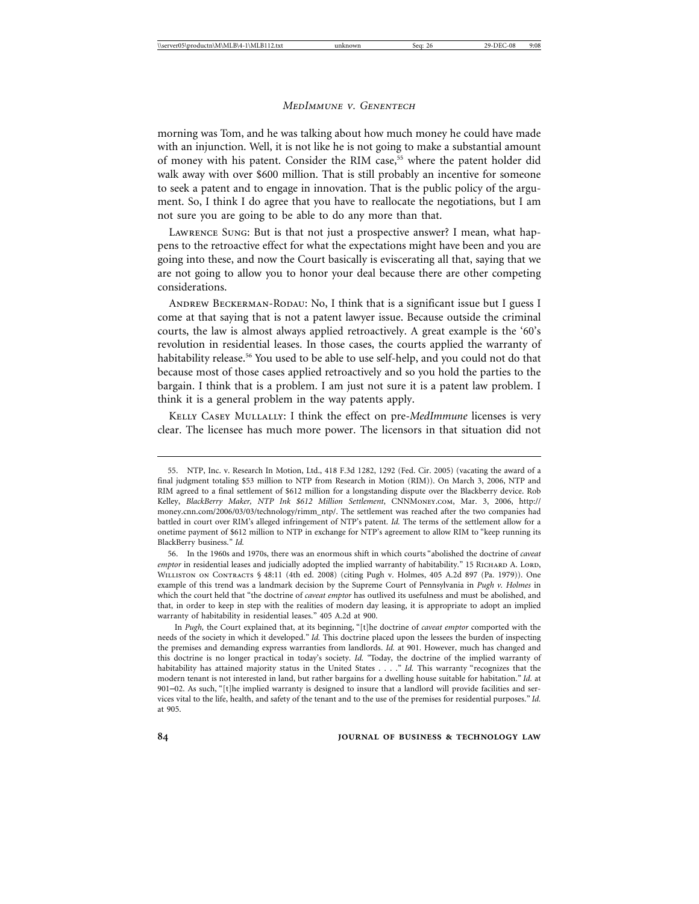morning was Tom, and he was talking about how much money he could have made with an injunction. Well, it is not like he is not going to make a substantial amount of money with his patent. Consider the RIM case,<sup>55</sup> where the patent holder did walk away with over \$600 million. That is still probably an incentive for someone to seek a patent and to engage in innovation. That is the public policy of the argument. So, I think I do agree that you have to reallocate the negotiations, but I am not sure you are going to be able to do any more than that.

Lawrence Sung: But is that not just a prospective answer? I mean, what happens to the retroactive effect for what the expectations might have been and you are going into these, and now the Court basically is eviscerating all that, saying that we are not going to allow you to honor your deal because there are other competing considerations.

ANDREW BECKERMAN-RODAU: No, I think that is a significant issue but I guess I come at that saying that is not a patent lawyer issue. Because outside the criminal courts, the law is almost always applied retroactively. A great example is the '60's revolution in residential leases. In those cases, the courts applied the warranty of habitability release.<sup>56</sup> You used to be able to use self-help, and you could not do that because most of those cases applied retroactively and so you hold the parties to the bargain. I think that is a problem. I am just not sure it is a patent law problem. I think it is a general problem in the way patents apply.

Kelly Casey Mullally: I think the effect on pre-*MedImmune* licenses is very clear. The licensee has much more power. The licensors in that situation did not

<sup>55.</sup> NTP, Inc. v. Research In Motion, Ltd., 418 F.3d 1282, 1292 (Fed. Cir. 2005) (vacating the award of a final judgment totaling \$53 million to NTP from Research in Motion (RIM)). On March 3, 2006, NTP and RIM agreed to a final settlement of \$612 million for a longstanding dispute over the Blackberry device. Rob Kelley, *BlackBerry Maker, NTP Ink \$612 Million Settlement*, CNNMoney.com, Mar. 3, 2006, http:// money.cnn.com/2006/03/03/technology/rimm\_ntp/. The settlement was reached after the two companies had battled in court over RIM's alleged infringement of NTP's patent. *Id.* The terms of the settlement allow for a onetime payment of \$612 million to NTP in exchange for NTP's agreement to allow RIM to "keep running its BlackBerry business." *Id.*

<sup>56.</sup> In the 1960s and 1970s, there was an enormous shift in which courts "abolished the doctrine of *caveat emptor* in residential leases and judicially adopted the implied warranty of habitability." 15 RICHARD A. LORD, Williston on Contracts § 48:11 (4th ed. 2008) (citing Pugh v. Holmes, 405 A.2d 897 (Pa. 1979)). One example of this trend was a landmark decision by the Supreme Court of Pennsylvania in *Pugh v. Holmes* in which the court held that "the doctrine of *caveat emptor* has outlived its usefulness and must be abolished, and that, in order to keep in step with the realities of modern day leasing, it is appropriate to adopt an implied warranty of habitability in residential leases." 405 A.2d at 900.

In *Pugh,* the Court explained that, at its beginning, "[t]he doctrine of *caveat emptor* comported with the needs of the society in which it developed." *Id.* This doctrine placed upon the lessees the burden of inspecting the premises and demanding express warranties from landlords. *Id.* at 901. However, much has changed and this doctrine is no longer practical in today's society. *Id.* "Today, the doctrine of the implied warranty of habitability has attained majority status in the United States . . . ." *Id.* This warranty "recognizes that the modern tenant is not interested in land, but rather bargains for a dwelling house suitable for habitation." *Id.* at 901–02. As such, "[t]he implied warranty is designed to insure that a landlord will provide facilities and services vital to the life, health, and safety of the tenant and to the use of the premises for residential purposes." *Id.* at 905.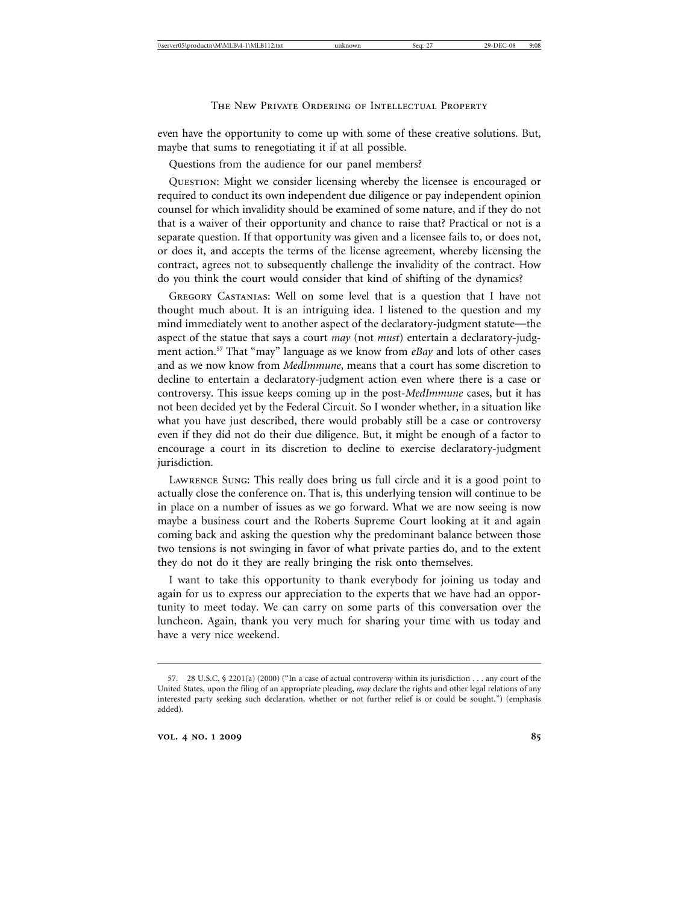even have the opportunity to come up with some of these creative solutions. But, maybe that sums to renegotiating it if at all possible.

Questions from the audience for our panel members?

Question: Might we consider licensing whereby the licensee is encouraged or required to conduct its own independent due diligence or pay independent opinion counsel for which invalidity should be examined of some nature, and if they do not that is a waiver of their opportunity and chance to raise that? Practical or not is a separate question. If that opportunity was given and a licensee fails to, or does not, or does it, and accepts the terms of the license agreement, whereby licensing the contract, agrees not to subsequently challenge the invalidity of the contract. How do you think the court would consider that kind of shifting of the dynamics?

Gregory Castanias: Well on some level that is a question that I have not thought much about. It is an intriguing idea. I listened to the question and my mind immediately went to another aspect of the declaratory-judgment statute—the aspect of the statue that says a court *may* (not *must*) entertain a declaratory-judgment action.57 That "may" language as we know from *eBay* and lots of other cases and as we now know from *MedImmune*, means that a court has some discretion to decline to entertain a declaratory-judgment action even where there is a case or controversy. This issue keeps coming up in the post-*MedImmune* cases, but it has not been decided yet by the Federal Circuit. So I wonder whether, in a situation like what you have just described, there would probably still be a case or controversy even if they did not do their due diligence. But, it might be enough of a factor to encourage a court in its discretion to decline to exercise declaratory-judgment jurisdiction.

Lawrence Sung: This really does bring us full circle and it is a good point to actually close the conference on. That is, this underlying tension will continue to be in place on a number of issues as we go forward. What we are now seeing is now maybe a business court and the Roberts Supreme Court looking at it and again coming back and asking the question why the predominant balance between those two tensions is not swinging in favor of what private parties do, and to the extent they do not do it they are really bringing the risk onto themselves.

I want to take this opportunity to thank everybody for joining us today and again for us to express our appreciation to the experts that we have had an opportunity to meet today. We can carry on some parts of this conversation over the luncheon. Again, thank you very much for sharing your time with us today and have a very nice weekend.

<sup>57. 28</sup> U.S.C. § 2201(a) (2000) ("In a case of actual controversy within its jurisdiction . . . any court of the United States, upon the filing of an appropriate pleading, *may* declare the rights and other legal relations of any interested party seeking such declaration, whether or not further relief is or could be sought.") (emphasis added).